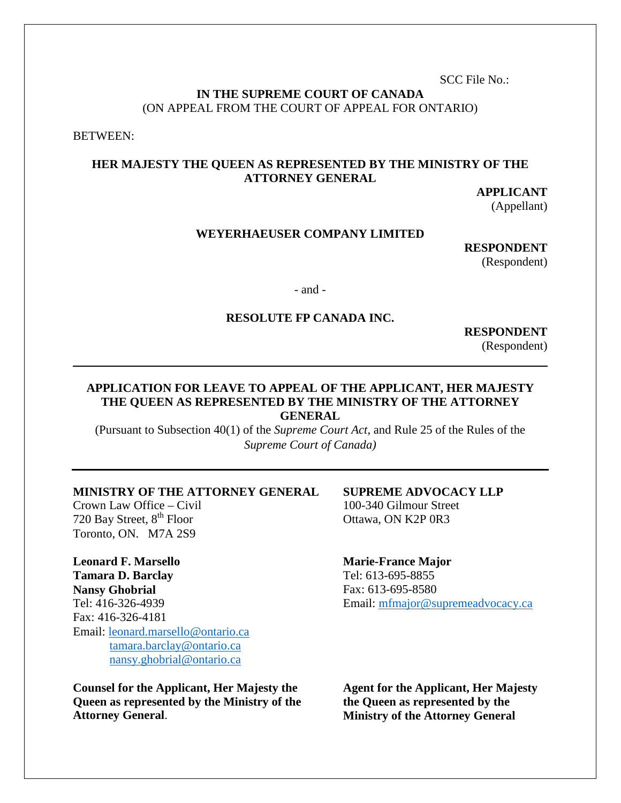SCC File No.:

### **IN THE SUPREME COURT OF CANADA** (ON APPEAL FROM THE COURT OF APPEAL FOR ONTARIO)

BETWEEN:

## **HER MAJESTY THE QUEEN AS REPRESENTED BY THE MINISTRY OF THE ATTORNEY GENERAL**

**APPLICANT** 

(Appellant)

## **WEYERHAEUSER COMPANY LIMITED**

**RESPONDENT** (Respondent)

- and -

## **RESOLUTE FP CANADA INC.**

**RESPONDENT**  (Respondent)

### **APPLICATION FOR LEAVE TO APPEAL OF THE APPLICANT, HER MAJESTY THE QUEEN AS REPRESENTED BY THE MINISTRY OF THE ATTORNEY GENERAL**

(Pursuant to Subsection 40(1) of the *Supreme Court Act*, and Rule 25 of the Rules of the *Supreme Court of Canada)*

## **MINISTRY OF THE ATTORNEY GENERAL**

Crown Law Office – Civil 720 Bay Street,  $8<sup>th</sup>$  Floor Toronto, ON. M7A 2S9

**Leonard F. Marsello Tamara D. Barclay Nansy Ghobrial** Tel: 416-326-4939 Fax: 416-326-4181 Email: [leonard.marsello@ontario.ca](mailto:leonard.marsello@ontario.ca) [tamara.barclay@ontario.ca](mailto:tamara.barclay@ontario.ca) [nansy.ghobrial@ontario.ca](mailto:nansy.ghobrial@ontario.ca)

**Counsel for the Applicant, Her Majesty the Queen as represented by the Ministry of the Attorney General**.

**SUPREME ADVOCACY LLP** 100-340 Gilmour Street Ottawa, ON K2P 0R3

**Marie-France Major** Tel: 613-695-8855 Fax: 613-695-8580 Email: [mfmajor@supremeadvocacy.ca](mailto:mfmajor@supremeadvocacy.ca)

**Agent for the Applicant, Her Majesty the Queen as represented by the Ministry of the Attorney General**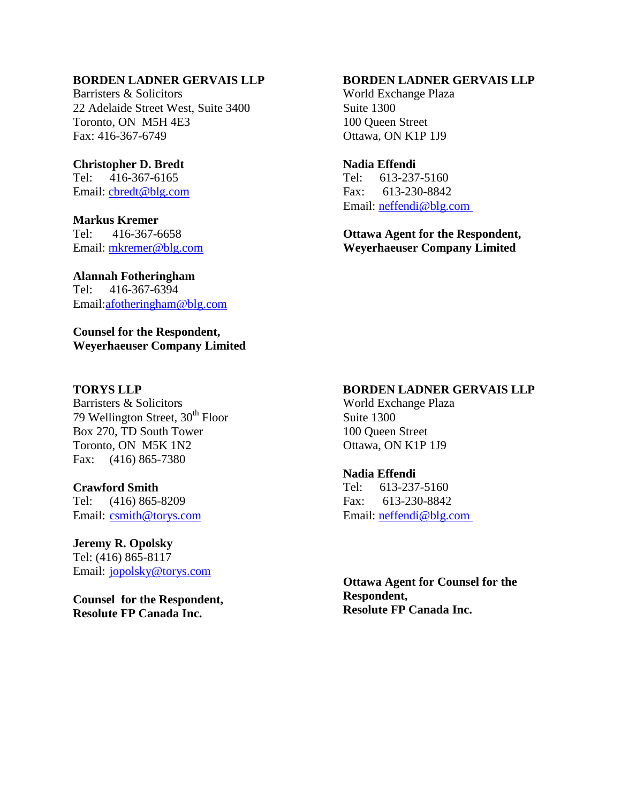### **BORDEN LADNER GERVAIS LLP**

Barristers & Solicitors 22 Adelaide Street West, Suite 3400 Toronto, ON M5H 4E3 Fax: 416-367-6749

**Christopher D. Bredt**  Tel: 416-367-6165 Email: [cbredt@blg.com](mailto:cbredt@blg.com)

**Markus Kremer**  Tel: 416-367-6658 Email: [mkremer@blg.com](mailto:mkremer@blg.com)

**Alannah Fotheringham** Tel: 416-367-6394 Email[:afotheringham@blg.com](mailto:afotheringham@blg.com)

**Counsel for the Respondent, Weyerhaeuser Company Limited**

### **TORYS LLP**

Barristers & Solicitors 79 Wellington Street,  $30<sup>th</sup>$  Floor Box 270, TD South Tower Toronto, ON M5K 1N2 Fax: (416) 865-7380

### **Crawford Smith**

Tel: (416) 865-8209 Email: [csmith@torys.com](mailto:csmith@torys.com)

**Jeremy R. Opolsky**  Tel: (416) 865-8117 Email: [jopolsky@torys.com](mailto:jopolsky@torys.com)

**Counsel for the Respondent, Resolute FP Canada Inc.**

### **BORDEN LADNER GERVAIS LLP**

World Exchange Plaza Suite 1300 100 Queen Street Ottawa, ON K1P 1J9

### **Nadia Effendi**

Tel: 613-237-5160 Fax: 613-230-8842 Email: [neffendi@blg.com](mailto:neffendi@blg.com)

**Ottawa Agent for the Respondent, Weyerhaeuser Company Limited**

### **BORDEN LADNER GERVAIS LLP**

World Exchange Plaza Suite 1300 100 Queen Street Ottawa, ON K1P 1J9

### **Nadia Effendi**

Tel: 613-237-5160 Fax: 613-230-8842 Email: [neffendi@blg.com](mailto:neffendi@blg.com)

**Ottawa Agent for Counsel for the Respondent, Resolute FP Canada Inc.**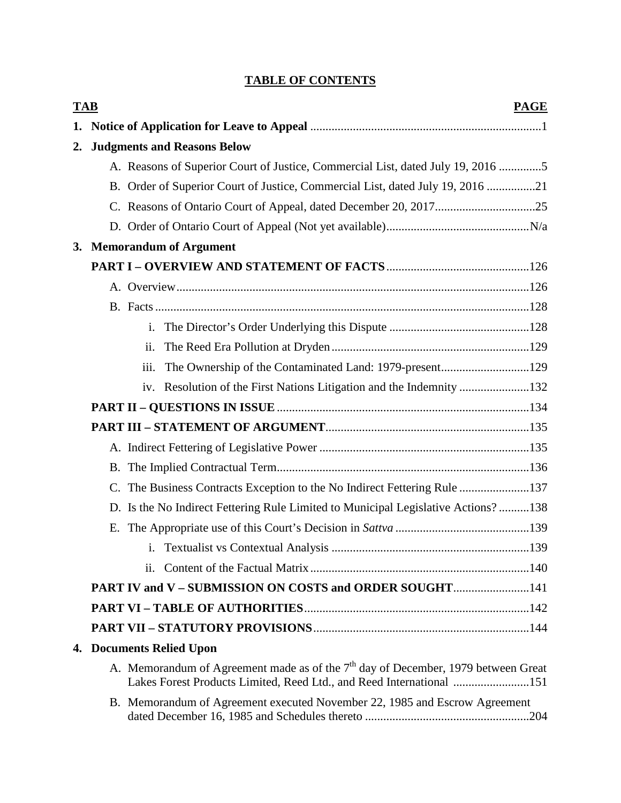# **TABLE OF CONTENTS**

| <b>TAB</b> |                | <b>PAGE</b>                                                                                                                                                 |  |
|------------|----------------|-------------------------------------------------------------------------------------------------------------------------------------------------------------|--|
|            |                |                                                                                                                                                             |  |
| 2.         |                | <b>Judgments and Reasons Below</b>                                                                                                                          |  |
|            |                | A. Reasons of Superior Court of Justice, Commercial List, dated July 19, 2016 5                                                                             |  |
|            |                | B. Order of Superior Court of Justice, Commercial List, dated July 19, 2016 21                                                                              |  |
|            |                |                                                                                                                                                             |  |
|            |                |                                                                                                                                                             |  |
|            |                | 3. Memorandum of Argument                                                                                                                                   |  |
|            |                |                                                                                                                                                             |  |
|            |                |                                                                                                                                                             |  |
|            |                |                                                                                                                                                             |  |
|            |                | i.                                                                                                                                                          |  |
|            |                | ii.                                                                                                                                                         |  |
|            |                | The Ownership of the Contaminated Land: 1979-present129<br>iii.                                                                                             |  |
|            |                | iv. Resolution of the First Nations Litigation and the Indemnity 132                                                                                        |  |
|            |                |                                                                                                                                                             |  |
|            |                |                                                                                                                                                             |  |
|            |                |                                                                                                                                                             |  |
|            |                |                                                                                                                                                             |  |
|            | $\mathbf{C}$ . | The Business Contracts Exception to the No Indirect Fettering Rule 137                                                                                      |  |
|            |                | D. Is the No Indirect Fettering Rule Limited to Municipal Legislative Actions?138                                                                           |  |
|            |                |                                                                                                                                                             |  |
|            |                |                                                                                                                                                             |  |
|            |                |                                                                                                                                                             |  |
|            |                | PART IV and V - SUBMISSION ON COSTS and ORDER SOUGHT141                                                                                                     |  |
|            |                |                                                                                                                                                             |  |
|            |                |                                                                                                                                                             |  |
|            |                | 4. Documents Relied Upon                                                                                                                                    |  |
|            |                | A. Memorandum of Agreement made as of the $7th$ day of December, 1979 between Great<br>Lakes Forest Products Limited, Reed Ltd., and Reed International 151 |  |
|            |                | B. Memorandum of Agreement executed November 22, 1985 and Escrow Agreement                                                                                  |  |
|            |                |                                                                                                                                                             |  |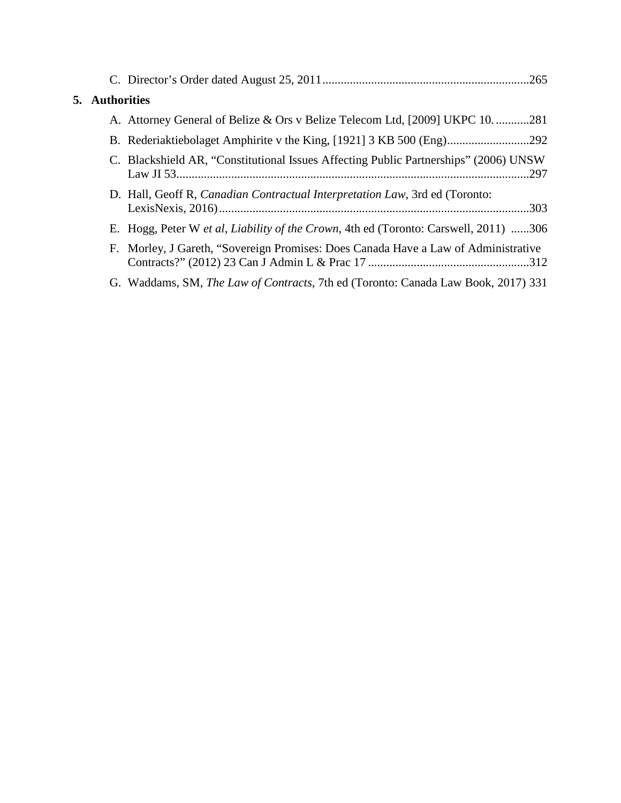| 5. Authorities |                                                                                              |
|----------------|----------------------------------------------------------------------------------------------|
|                | A. Attorney General of Belize & Ors v Belize Telecom Ltd, [2009] UKPC 10281                  |
|                |                                                                                              |
|                | C. Blackshield AR, "Constitutional Issues Affecting Public Partnerships" (2006) UNSW         |
|                | D. Hall, Geoff R, Canadian Contractual Interpretation Law, 3rd ed (Toronto:                  |
|                | E. Hogg, Peter W <i>et al, Liability of the Crown</i> , 4th ed (Toronto: Carswell, 2011) 306 |
|                | F. Morley, J Gareth, "Sovereign Promises: Does Canada Have a Law of Administrative           |
|                | G. Waddams, SM, The Law of Contracts, 7th ed (Toronto: Canada Law Book, 2017) 331            |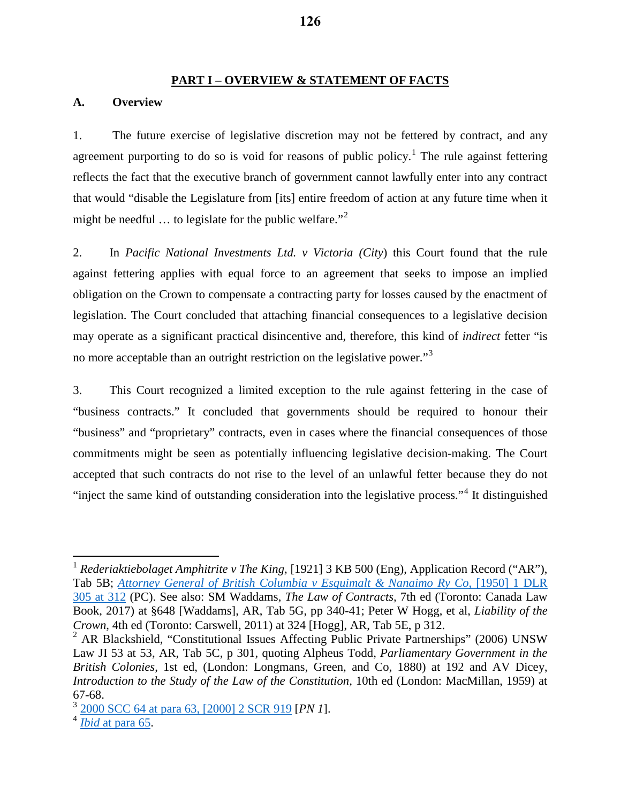### **PART I – OVERVIEW & STATEMENT OF FACTS**

## **A. Overview**

1. The future exercise of legislative discretion may not be fettered by contract, and any agreement purporting to do so is void for reasons of public policy.<sup>[1](#page-4-0)</sup> The rule against fettering reflects the fact that the executive branch of government cannot lawfully enter into any contract that would "disable the Legislature from [its] entire freedom of action at any future time when it might be needful  $\ldots$  to legislate for the public welfare."<sup>[2](#page-4-1)</sup>

2. In *Pacific National Investments Ltd. v Victoria (City*) this Court found that the rule against fettering applies with equal force to an agreement that seeks to impose an implied obligation on the Crown to compensate a contracting party for losses caused by the enactment of legislation. The Court concluded that attaching financial consequences to a legislative decision may operate as a significant practical disincentive and, therefore, this kind of *indirect* fetter "is no more acceptable than an outright restriction on the legislative power."<sup>[3](#page-4-2)</sup>

3. This Court recognized a limited exception to the rule against fettering in the case of "business contracts." It concluded that governments should be required to honour their "business" and "proprietary" contracts, even in cases where the financial consequences of those commitments might be seen as potentially influencing legislative decision-making. The Court accepted that such contracts do not rise to the level of an unlawful fetter because they do not "inject the same kind of outstanding consideration into the legislative process."[4](#page-4-3) It distinguished

<span id="page-4-0"></span><sup>1</sup> *Rederiaktiebolaget Amphitrite v The King,* [1921] 3 KB 500 (Eng), Application Record ("AR"), Tab 5B; *[Attorney General of British Columbia v Esquimalt & Nanaimo Ry Co](https://www.canlii.org/en/ca/ukjcpc/doc/1949/1949canlii324/1949canlii324.html?resultIndex=1)*, [1950] 1 DLR [305 at 312](https://www.canlii.org/en/ca/ukjcpc/doc/1949/1949canlii324/1949canlii324.html?resultIndex=1) (PC). See also: SM Waddams, *The Law of Contracts,* 7th ed (Toronto: Canada Law Book, 2017) at §648 [Waddams], AR, Tab 5G, pp 340-41; Peter W Hogg, et al, *Liability of the Crown*, 4th ed (Toronto: Carswell, 2011) at 324 [Hogg], AR, Tab 5E, p 312.

<span id="page-4-1"></span> $2$  AR Blackshield, "Constitutional Issues Affecting Public Private Partnerships" (2006) UNSW Law JI 53 at 53, AR, Tab 5C, p 301, quoting Alpheus Todd, *Parliamentary Government in the British Colonies*, 1st ed, (London: Longmans, Green, and Co, 1880) at 192 and AV Dicey, *Introduction to the Study of the Law of the Constitution,* 10th ed (London: MacMillan, 1959) at 67-68.

<span id="page-4-2"></span><sup>3</sup> [2000 SCC 64 at para 63, \[2000\] 2 SCR 919](https://www.canlii.org/en/ca/scc/doc/2000/2000scc64/2000scc64.html#par63) [*PN 1*].

<span id="page-4-3"></span><sup>4</sup> *Ibid* [at para 65.](https://www.canlii.org/en/ca/scc/doc/2000/2000scc64/2000scc64.html#par65)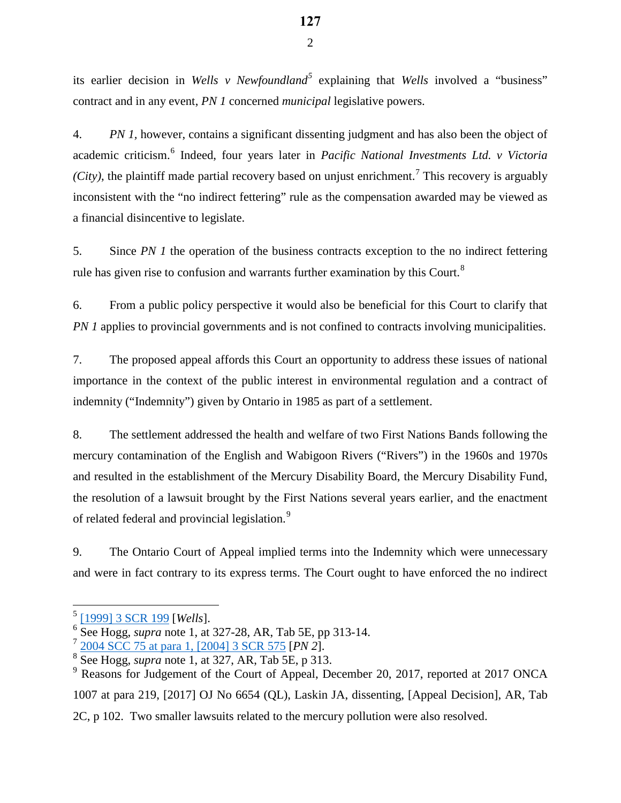its earlier decision in *Wells v Newfoundland[5](#page-5-0)* explaining that *Wells* involved a "business" contract and in any event, *PN 1* concerned *municipal* legislative powers.

4. *PN 1,* however, contains a significant dissenting judgment and has also been the object of academic criticism.[6](#page-5-1) Indeed, four years later in *Pacific National Investments Ltd. v Victoria (City)*, the plaintiff made partial recovery based on unjust enrichment.<sup>[7](#page-5-2)</sup> This recovery is arguably inconsistent with the "no indirect fettering" rule as the compensation awarded may be viewed as a financial disincentive to legislate.

5. Since *PN 1* the operation of the business contracts exception to the no indirect fettering rule has given rise to confusion and warrants further examination by this Court.<sup>[8](#page-5-3)</sup>

6. From a public policy perspective it would also be beneficial for this Court to clarify that *PN 1* applies to provincial governments and is not confined to contracts involving municipalities.

7. The proposed appeal affords this Court an opportunity to address these issues of national importance in the context of the public interest in environmental regulation and a contract of indemnity ("Indemnity") given by Ontario in 1985 as part of a settlement.

8. The settlement addressed the health and welfare of two First Nations Bands following the mercury contamination of the English and Wabigoon Rivers ("Rivers") in the 1960s and 1970s and resulted in the establishment of the Mercury Disability Board, the Mercury Disability Fund, the resolution of a lawsuit brought by the First Nations several years earlier, and the enactment of related federal and provincial legislation.<sup>[9](#page-5-4)</sup>

9. The Ontario Court of Appeal implied terms into the Indemnity which were unnecessary and were in fact contrary to its express terms. The Court ought to have enforced the no indirect

<sup>5</sup> [\[1999\] 3 SCR 199](https://www.canlii.org/en/ca/scc/doc/1999/1999canlii657/1999canlii657.html?resultIndex=1) [*Wells*].

<span id="page-5-1"></span><span id="page-5-0"></span><sup>&</sup>lt;sup>6</sup> See Hogg, *supra* note 1, at 327-28, AR, Tab 5E, pp 313-14.

<span id="page-5-2"></span><sup>7</sup> [2004 SCC 75 at para 1, \[2004\] 3 SCR 575](https://www.canlii.org/en/ca/scc/doc/2004/2004scc75/2004scc75.html#par1) [*PN 2*].

<span id="page-5-3"></span><sup>8</sup> See Hogg, *supra* note 1, at 327, AR, Tab 5E, p 313.

<span id="page-5-4"></span><sup>&</sup>lt;sup>9</sup> Reasons for Judgement of the Court of Appeal, December 20, 2017, reported at 2017 ONCA 1007 at para 219, [2017] OJ No 6654 (QL), Laskin JA, dissenting, [Appeal Decision], AR, Tab 2C, p 102. Two smaller lawsuits related to the mercury pollution were also resolved.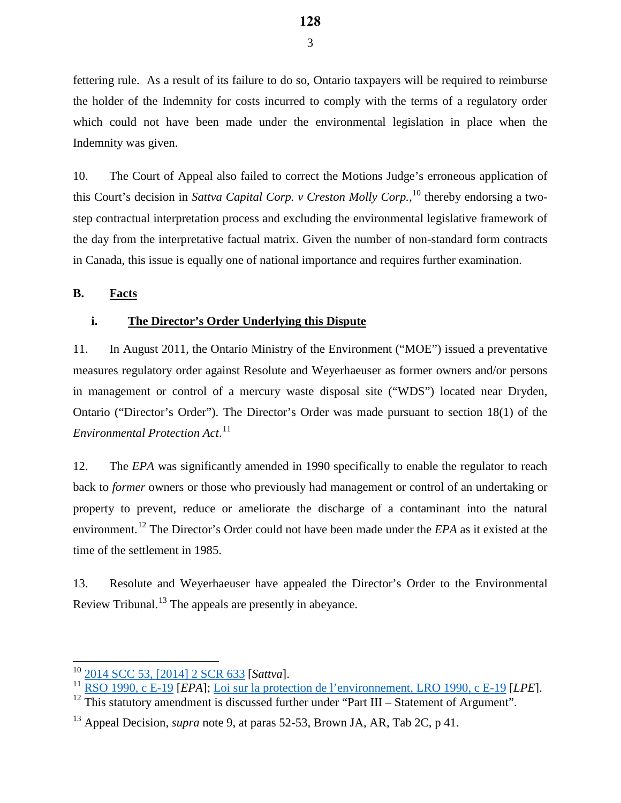fettering rule. As a result of its failure to do so, Ontario taxpayers will be required to reimburse the holder of the Indemnity for costs incurred to comply with the terms of a regulatory order which could not have been made under the environmental legislation in place when the Indemnity was given.

10. The Court of Appeal also failed to correct the Motions Judge's erroneous application of this Court's decision in *Sattva Capital Corp. v Creston Molly Corp.,*[10](#page-6-0) thereby endorsing a twostep contractual interpretation process and excluding the environmental legislative framework of the day from the interpretative factual matrix. Given the number of non-standard form contracts in Canada, this issue is equally one of national importance and requires further examination.

### **B. Facts**

 $\overline{a}$ 

### **i. The Director's Order Underlying this Dispute**

11. In August 2011, the Ontario Ministry of the Environment ("MOE") issued a preventative measures regulatory order against Resolute and Weyerhaeuser as former owners and/or persons in management or control of a mercury waste disposal site ("WDS") located near Dryden, Ontario ("Director's Order"). The Director's Order was made pursuant to section 18(1) of the *Environmental Protection Act*. [11](#page-6-1) 

12. The *EPA* was significantly amended in 1990 specifically to enable the regulator to reach back to *former* owners or those who previously had management or control of an undertaking or property to prevent, reduce or ameliorate the discharge of a contaminant into the natural environment.<sup>[12](#page-6-2)</sup> The Director's Order could not have been made under the *EPA* as it existed at the time of the settlement in 1985.

13. Resolute and Weyerhaeuser have appealed the Director's Order to the Environmental Review Tribunal.<sup>[13](#page-6-3)</sup> The appeals are presently in abeyance.

<sup>10</sup> [2014 SCC 53, \[2014\] 2 SCR 633](https://www.canlii.org/en/ca/scc/doc/2014/2014scc53/2014scc53.html?resultIndex=1) [*Sattva*].

<span id="page-6-1"></span><span id="page-6-0"></span><sup>11</sup> [RSO 1990, c E-19](https://www.ontario.ca/laws/statute/90e19) [*EPA*]; [Loi sur la protection de l'environnement, LRO 1990, c E-19](https://www.ontario.ca/fr/lois/loi/90e19) [*LPE*].

<span id="page-6-2"></span><sup>&</sup>lt;sup>12</sup> This statutory amendment is discussed further under "Part III – Statement of Argument".

<span id="page-6-3"></span><sup>13</sup> Appeal Decision, *supra* note 9, at paras 52-53, Brown JA, AR, Tab 2C, p 41.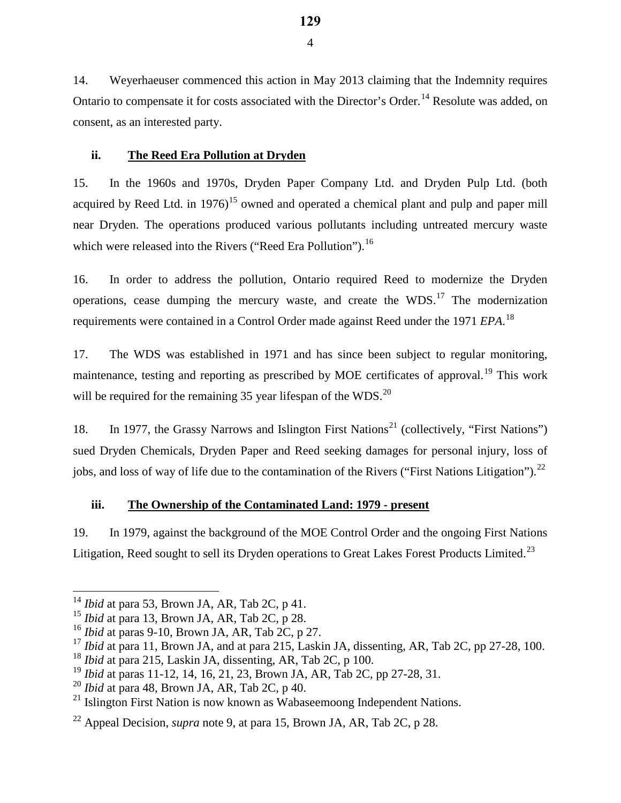14. Weyerhaeuser commenced this action in May 2013 claiming that the Indemnity requires Ontario to compensate it for costs associated with the Director's Order.<sup>[14](#page-7-0)</sup> Resolute was added, on consent, as an interested party.

## **ii. The Reed Era Pollution at Dryden**

15. In the 1960s and 1970s, Dryden Paper Company Ltd. and Dryden Pulp Ltd. (both acquired by Reed Ltd. in 1976)<sup>[15](#page-7-1)</sup> owned and operated a chemical plant and pulp and paper mill near Dryden. The operations produced various pollutants including untreated mercury waste which were released into the Rivers ("Reed Era Pollution").<sup>[16](#page-7-2)</sup>

16. In order to address the pollution, Ontario required Reed to modernize the Dryden operations, cease dumping the mercury waste, and create the WDS.<sup>[17](#page-7-3)</sup> The modernization requirements were contained in a Control Order made against Reed under the 1971 *EPA*. [18](#page-7-4)

17. The WDS was established in 1971 and has since been subject to regular monitoring, maintenance, testing and reporting as prescribed by MOE certificates of approval.<sup>[19](#page-7-5)</sup> This work will be required for the remaining 35 year lifespan of the WDS.<sup>[20](#page-7-6)</sup>

18. In 1977, the Grassy Narrows and Islington First Nations<sup>[21](#page-7-7)</sup> (collectively, "First Nations") sued Dryden Chemicals, Dryden Paper and Reed seeking damages for personal injury, loss of jobs, and loss of way of life due to the contamination of the Rivers ("First Nations Litigation").<sup>22</sup>

## **iii. The Ownership of the Contaminated Land: 1979 - present**

19. In 1979, against the background of the MOE Control Order and the ongoing First Nations Litigation, Reed sought to sell its Dryden operations to Great Lakes Forest Products Limited.<sup>[23](#page-7-9)</sup>

<span id="page-7-0"></span><sup>14</sup> *Ibid* at para 53, Brown JA, AR, Tab 2C, p 41.

<span id="page-7-1"></span><sup>15</sup> *Ibid* at para 13, Brown JA, AR, Tab 2C, p 28.

<span id="page-7-9"></span><span id="page-7-2"></span><sup>16</sup> *Ibid* at paras 9-10, Brown JA, AR, Tab 2C, p 27.

<span id="page-7-3"></span><sup>&</sup>lt;sup>17</sup> *Ibid* at para 11, Brown JA, and at para 215, Laskin JA, dissenting, AR, Tab 2C, pp 27-28, 100.

<span id="page-7-4"></span><sup>18</sup> *Ibid* at para 215, Laskin JA, dissenting, AR, Tab 2C, p 100.

<sup>19</sup> *Ibid* at paras 11-12, 14, 16, 21, 23, Brown JA, AR, Tab 2C, pp 27-28, 31.

<span id="page-7-6"></span><span id="page-7-5"></span><sup>20</sup> *Ibid* at para 48, Brown JA, AR, Tab 2C, p 40.

<span id="page-7-7"></span> $21$  Islington First Nation is now known as Wabaseemoong Independent Nations.

<span id="page-7-8"></span><sup>22</sup> Appeal Decision, *supra* note 9, at para 15, Brown JA, AR, Tab 2C, p 28.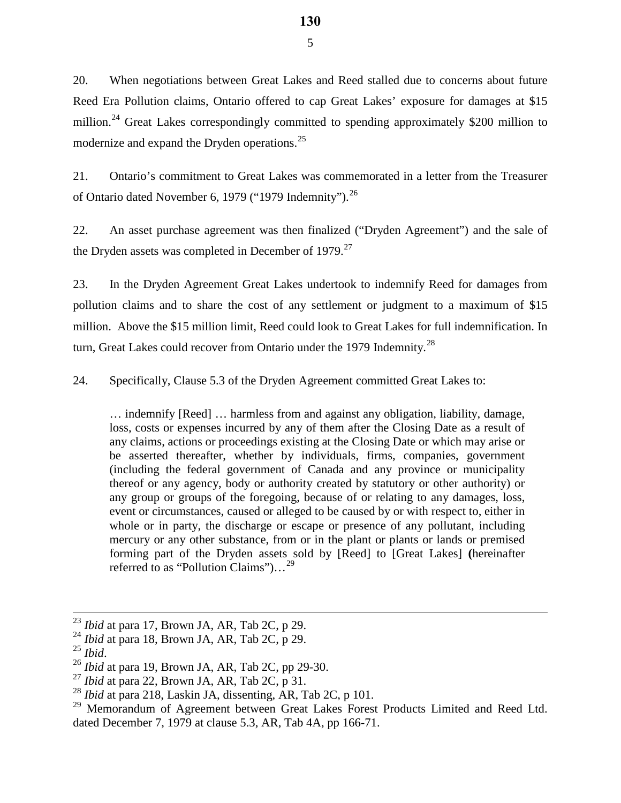20. When negotiations between Great Lakes and Reed stalled due to concerns about future Reed Era Pollution claims, Ontario offered to cap Great Lakes' exposure for damages at \$15 million.<sup>[24](#page-8-0)</sup> Great Lakes correspondingly committed to spending approximately \$200 million to modernize and expand the Dryden operations.<sup>25</sup>

21. Ontario's commitment to Great Lakes was commemorated in a letter from the Treasurer of Ontario dated November 6, 1979 ("1979 Indemnity").<sup>26</sup>

22. An asset purchase agreement was then finalized ("Dryden Agreement") and the sale of the Dryden assets was completed in December of  $1979$ .<sup>[27](#page-8-3)</sup>

23. In the Dryden Agreement Great Lakes undertook to indemnify Reed for damages from pollution claims and to share the cost of any settlement or judgment to a maximum of \$15 million. Above the \$15 million limit, Reed could look to Great Lakes for full indemnification. In turn, Great Lakes could recover from Ontario under the 1979 Indemnity.<sup>[28](#page-8-4)</sup>

24. Specifically, Clause 5.3 of the Dryden Agreement committed Great Lakes to:

… indemnify [Reed] … harmless from and against any obligation, liability, damage, loss, costs or expenses incurred by any of them after the Closing Date as a result of any claims, actions or proceedings existing at the Closing Date or which may arise or be asserted thereafter, whether by individuals, firms, companies, government (including the federal government of Canada and any province or municipality thereof or any agency, body or authority created by statutory or other authority) or any group or groups of the foregoing, because of or relating to any damages, loss, event or circumstances, caused or alleged to be caused by or with respect to, either in whole or in party, the discharge or escape or presence of any pollutant, including mercury or any other substance, from or in the plant or plants or lands or premised forming part of the Dryden assets sold by [Reed] to [Great Lakes] **(**hereinafter referred to as "Pollution Claims")…[29](#page-8-5) 

 <sup>23</sup> *Ibid* at para 17, Brown JA, AR, Tab 2C, p 29.

<span id="page-8-0"></span><sup>&</sup>lt;sup>24</sup> *Ibid* at para 18, Brown JA, AR, Tab 2C, p 29.<br><sup>25</sup> *Ibid.* 

<span id="page-8-2"></span><span id="page-8-1"></span><sup>25</sup> *Ibid*. 26 *Ibid* at para 19, Brown JA, AR, Tab 2C, pp 29-30.

<span id="page-8-3"></span><sup>27</sup> *Ibid* at para 22, Brown JA, AR, Tab 2C, p 31.

<span id="page-8-4"></span><sup>28</sup> *Ibid* at para 218, Laskin JA, dissenting, AR, Tab 2C, p 101.

<span id="page-8-5"></span><sup>&</sup>lt;sup>29</sup> Memorandum of Agreement between Great Lakes Forest Products Limited and Reed Ltd. dated December 7, 1979 at clause 5.3, AR, Tab 4A, pp 166-71.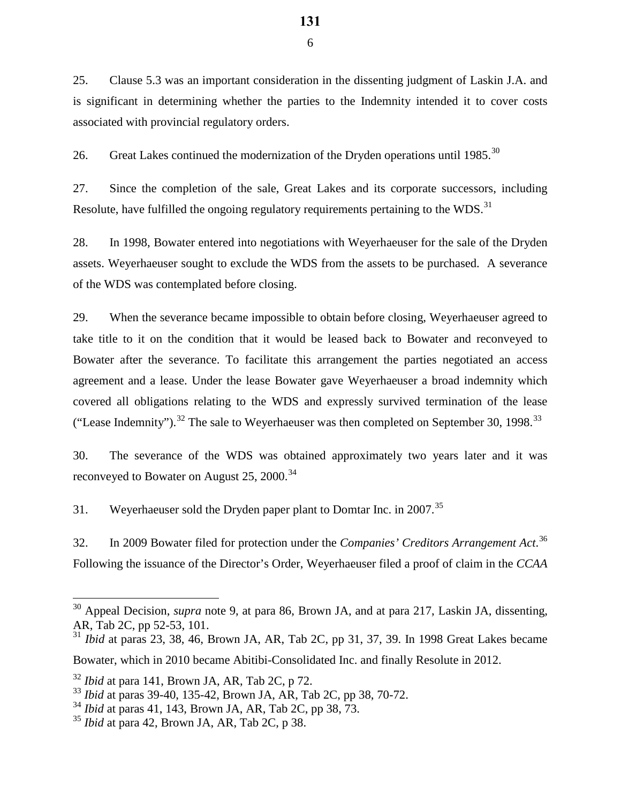26. Great Lakes continued the modernization of the Dryden operations until 1985.<sup>30</sup>

27. Since the completion of the sale, Great Lakes and its corporate successors, including Resolute, have fulfilled the ongoing regulatory requirements pertaining to the WDS.<sup>[31](#page-9-1)</sup>

28. In 1998, Bowater entered into negotiations with Weyerhaeuser for the sale of the Dryden assets. Weyerhaeuser sought to exclude the WDS from the assets to be purchased. A severance of the WDS was contemplated before closing.

29. When the severance became impossible to obtain before closing, Weyerhaeuser agreed to take title to it on the condition that it would be leased back to Bowater and reconveyed to Bowater after the severance. To facilitate this arrangement the parties negotiated an access agreement and a lease. Under the lease Bowater gave Weyerhaeuser a broad indemnity which covered all obligations relating to the WDS and expressly survived termination of the lease ("Lease Indemnity").<sup>[32](#page-9-2)</sup> The sale to Weyerhaeuser was then completed on September 30, 1998.<sup>[33](#page-9-3)</sup>

30. The severance of the WDS was obtained approximately two years later and it was reconveyed to Bowater on August 25, 2000.<sup>34</sup>

31. Weyerhaeuser sold the Dryden paper plant to Domtar Inc. in 2007.<sup>[35](#page-9-5)</sup>

32. In 2009 Bowater filed for protection under the *Companies' Creditors Arrangement Act*. [36](#page-9-6) Following the issuance of the Director's Order, Weyerhaeuser filed a proof of claim in the *CCAA*

<span id="page-9-6"></span><span id="page-9-0"></span><sup>30</sup> Appeal Decision, *supra* note 9, at para 86, Brown JA, and at para 217, Laskin JA, dissenting, AR, Tab 2C, pp 52-53, 101.

<span id="page-9-1"></span> $31$  *Ibid* at paras 23, 38, 46, Brown JA, AR, Tab 2C, pp 31, 37, 39. In 1998 Great Lakes became Bowater, which in 2010 became Abitibi-Consolidated Inc. and finally Resolute in 2012.

<span id="page-9-2"></span><sup>32</sup> *Ibid* at para 141, Brown JA, AR, Tab 2C, p 72.

<span id="page-9-3"></span><sup>33</sup> *Ibid* at paras 39-40, 135-42, Brown JA, AR, Tab 2C, pp 38, 70-72.

<span id="page-9-4"></span><sup>34</sup> *Ibid* at paras 41, 143, Brown JA, AR, Tab 2C, pp 38, 73.

<span id="page-9-5"></span><sup>35</sup> *Ibid* at para 42, Brown JA, AR, Tab 2C, p 38.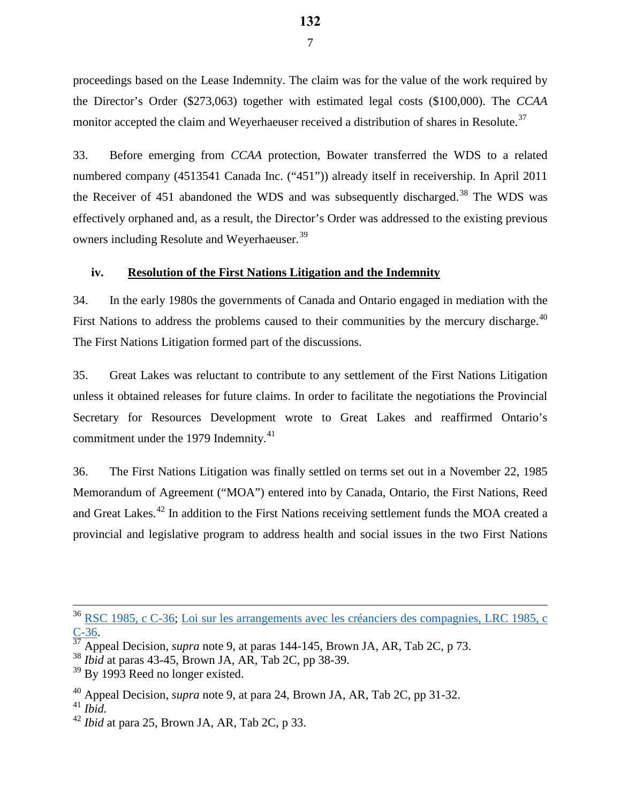proceedings based on the Lease Indemnity. The claim was for the value of the work required by the Director's Order (\$273,063) together with estimated legal costs (\$100,000). The *CCAA* monitor accepted the claim and Weyerhaeuser received a distribution of shares in Resolute.<sup>[37](#page-10-0)</sup>

33. Before emerging from *CCAA* protection, Bowater transferred the WDS to a related numbered company (4513541 Canada Inc. ("451")) already itself in receivership. In April 2011 the Receiver of  $451$  abandoned the WDS and was subsequently discharged.<sup>[38](#page-10-1)</sup> The WDS was effectively orphaned and, as a result, the Director's Order was addressed to the existing previous owners including Resolute and Weyerhaeuser.[39](#page-10-2) 

### **iv. Resolution of the First Nations Litigation and the Indemnity**

34. In the early 1980s the governments of Canada and Ontario engaged in mediation with the First Nations to address the problems caused to their communities by the mercury discharge. $40$ The First Nations Litigation formed part of the discussions.

35. Great Lakes was reluctant to contribute to any settlement of the First Nations Litigation unless it obtained releases for future claims. In order to facilitate the negotiations the Provincial Secretary for Resources Development wrote to Great Lakes and reaffirmed Ontario's commitment under the 1979 Indemnity.<sup>[41](#page-10-4)</sup>

36. The First Nations Litigation was finally settled on terms set out in a November 22, 1985 Memorandum of Agreement ("MOA") entered into by Canada, Ontario, the First Nations, Reed and Great Lakes.<sup>[42](#page-10-5)</sup> In addition to the First Nations receiving settlement funds the MOA created a provincial and legislative program to address health and social issues in the two First Nations

<sup>&</sup>lt;sup>36</sup> [RSC 1985, c C-36;](http://laws-lois.justice.gc.ca/eng/acts/C-36/FullText.html) Loi sur les arrangements avec les créanciers des compagnies, LRC 1985, c [C-36.](http://laws-lois.justice.gc.ca/fra/lois/C-36/TexteComplet.html) [37](http://laws-lois.justice.gc.ca/fra/lois/C-36/TexteComplet.html) Appeal Decision, *supra* note 9, at paras 144-145, Brown JA, AR, Tab 2C, p 73.

<span id="page-10-0"></span>

<span id="page-10-1"></span><sup>38</sup> *Ibid* at paras 43-45, Brown JA, AR, Tab 2C, pp 38-39.

<span id="page-10-2"></span> $39$  By 1993 Reed no longer existed.

<span id="page-10-3"></span><sup>40</sup> Appeal Decision, *supra* note 9, at para 24, Brown JA, AR, Tab 2C, pp 31-32.

<span id="page-10-4"></span><sup>41</sup> *Ibid.*

<span id="page-10-5"></span><sup>42</sup> *Ibid* at para 25, Brown JA, AR, Tab 2C, p 33.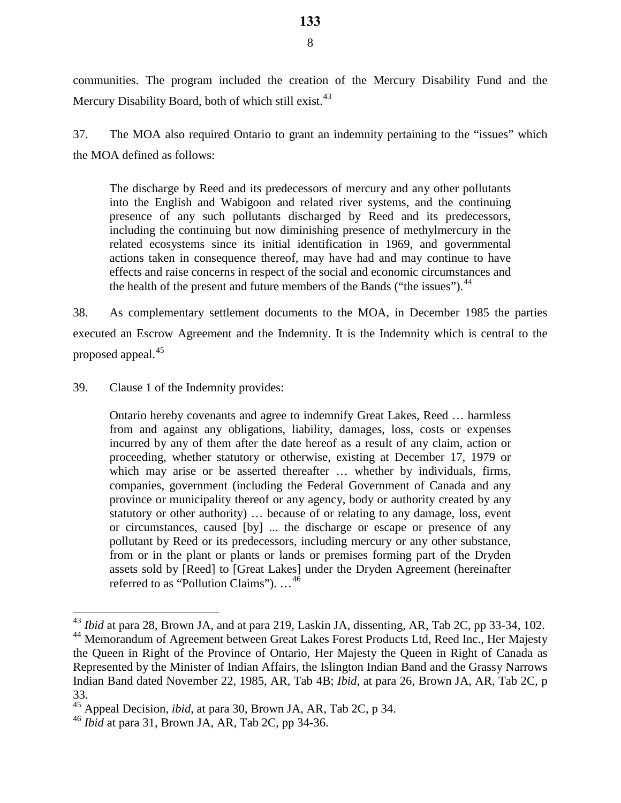communities. The program included the creation of the Mercury Disability Fund and the Mercury Disability Board, both of which still exist.<sup>[43](#page-11-0)</sup>

37. The MOA also required Ontario to grant an indemnity pertaining to the "issues" which the MOA defined as follows:

The discharge by Reed and its predecessors of mercury and any other pollutants into the English and Wabigoon and related river systems, and the continuing presence of any such pollutants discharged by Reed and its predecessors, including the continuing but now diminishing presence of methylmercury in the related ecosystems since its initial identification in 1969, and governmental actions taken in consequence thereof, may have had and may continue to have effects and raise concerns in respect of the social and economic circumstances and the health of the present and future members of the Bands ("the issues").<sup>[44](#page-11-1)</sup>

38. As complementary settlement documents to the MOA, in December 1985 the parties executed an Escrow Agreement and the Indemnity. It is the Indemnity which is central to the proposed appeal.[45](#page-11-2)

39. Clause 1 of the Indemnity provides:

Ontario hereby covenants and agree to indemnify Great Lakes, Reed … harmless from and against any obligations, liability, damages, loss, costs or expenses incurred by any of them after the date hereof as a result of any claim, action or proceeding, whether statutory or otherwise, existing at December 17, 1979 or which may arise or be asserted thereafter ... whether by individuals, firms, companies, government (including the Federal Government of Canada and any province or municipality thereof or any agency, body or authority created by any statutory or other authority) … because of or relating to any damage, loss, event or circumstances, caused [by] ... the discharge or escape or presence of any pollutant by Reed or its predecessors, including mercury or any other substance, from or in the plant or plants or lands or premises forming part of the Dryden assets sold by [Reed] to [Great Lakes] under the Dryden Agreement (hereinafter referred to as "Pollution Claims"). ...<sup>[46](#page-11-3)</sup>

<span id="page-11-0"></span><sup>43</sup> *Ibid* at para 28, Brown JA, and at para 219, Laskin JA, dissenting, AR, Tab 2C, pp 33-34, 102.

<span id="page-11-1"></span><sup>44</sup> Memorandum of Agreement between Great Lakes Forest Products Ltd, Reed Inc., Her Majesty the Queen in Right of the Province of Ontario, Her Majesty the Queen in Right of Canada as Represented by the Minister of Indian Affairs, the Islington Indian Band and the Grassy Narrows Indian Band dated November 22, 1985, AR, Tab 4B; *Ibid*, at para 26, Brown JA, AR, Tab 2C, p 33.

<span id="page-11-2"></span><sup>45</sup> Appeal Decision*, ibid,* at para 30, Brown JA, AR, Tab 2C, p 34.

<span id="page-11-3"></span><sup>46</sup> *Ibid* at para 31, Brown JA, AR, Tab 2C, pp 34-36.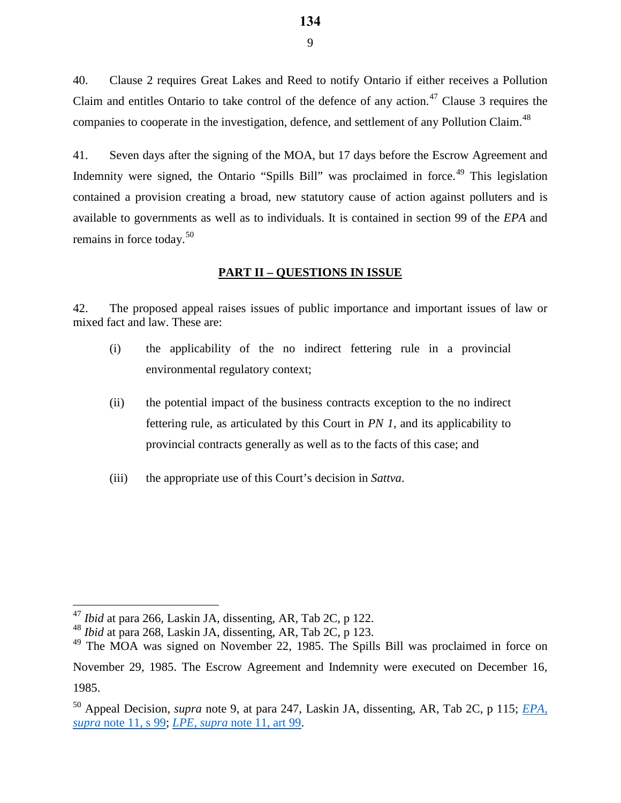40. Clause 2 requires Great Lakes and Reed to notify Ontario if either receives a Pollution Claim and entitles Ontario to take control of the defence of any action.<sup>[47](#page-12-0)</sup> Clause 3 requires the companies to cooperate in the investigation, defence, and settlement of any Pollution Claim.<sup>[48](#page-12-1)</sup>

41. Seven days after the signing of the MOA, but 17 days before the Escrow Agreement and Indemnity were signed, the Ontario "Spills Bill" was proclaimed in force.<sup>[49](#page-12-2)</sup> This legislation contained a provision creating a broad, new statutory cause of action against polluters and is available to governments as well as to individuals. It is contained in section 99 of the *EPA* and remains in force today.<sup>[50](#page-12-3)</sup>

### **PART II – QUESTIONS IN ISSUE**

42. The proposed appeal raises issues of public importance and important issues of law or mixed fact and law. These are:

- (i) the applicability of the no indirect fettering rule in a provincial environmental regulatory context;
- (ii) the potential impact of the business contracts exception to the no indirect fettering rule, as articulated by this Court in *PN 1*, and its applicability to provincial contracts generally as well as to the facts of this case; and
- (iii) the appropriate use of this Court's decision in *Sattva*.

<span id="page-12-0"></span><sup>47</sup> *Ibid* at para 266, Laskin JA, dissenting, AR, Tab 2C, p 122.

<span id="page-12-1"></span><sup>48</sup> *Ibid* at para 268, Laskin JA, dissenting, AR, Tab 2C, p 123.

<span id="page-12-2"></span><sup>&</sup>lt;sup>49</sup> The MOA was signed on November 22, 1985. The Spills Bill was proclaimed in force on

November 29, 1985. The Escrow Agreement and Indemnity were executed on December 16, 1985.

<span id="page-12-3"></span><sup>50</sup> Appeal Decision, *supra* note 9, at para 247, Laskin JA, dissenting, AR, Tab 2C, p 115; *[EPA,](https://www.ontario.ca/laws/statute/90e19#BK138)  supra* [note 11, s 99;](https://www.ontario.ca/laws/statute/90e19#BK138) *LPE*, *supra* [note 11, art 99.](https://www.ontario.ca/fr/lois/loi/90e19#BK138)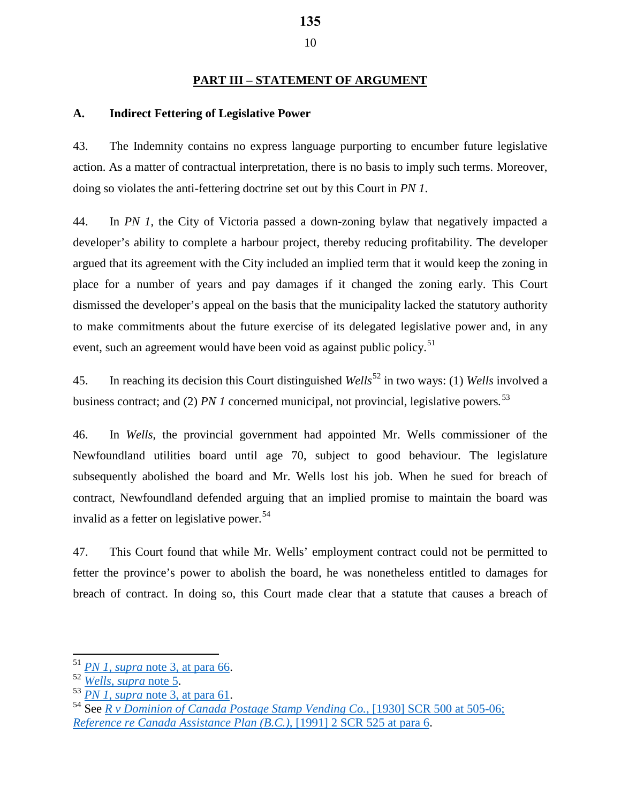### **PART III – STATEMENT OF ARGUMENT**

### **A. Indirect Fettering of Legislative Power**

43. The Indemnity contains no express language purporting to encumber future legislative action. As a matter of contractual interpretation, there is no basis to imply such terms. Moreover, doing so violates the anti-fettering doctrine set out by this Court in *PN 1*.

44. In *PN 1*, the City of Victoria passed a down-zoning bylaw that negatively impacted a developer's ability to complete a harbour project, thereby reducing profitability. The developer argued that its agreement with the City included an implied term that it would keep the zoning in place for a number of years and pay damages if it changed the zoning early. This Court dismissed the developer's appeal on the basis that the municipality lacked the statutory authority to make commitments about the future exercise of its delegated legislative power and, in any event, such an agreement would have been void as against public policy.<sup>[51](#page-13-0)</sup>

45. In reaching its decision this Court distinguished *Wells*[52](#page-13-1) in two ways: (1) *Wells* involved a business contract; and (2) *PN 1* concerned municipal, not provincial, legislative powers*.* [53](#page-13-2)

46. In *Wells*, the provincial government had appointed Mr. Wells commissioner of the Newfoundland utilities board until age 70, subject to good behaviour. The legislature subsequently abolished the board and Mr. Wells lost his job. When he sued for breach of contract, Newfoundland defended arguing that an implied promise to maintain the board was invalid as a fetter on legislative power.<sup>[54](#page-13-3)</sup>

47. This Court found that while Mr. Wells' employment contract could not be permitted to fetter the province's power to abolish the board, he was nonetheless entitled to damages for breach of contract. In doing so, this Court made clear that a statute that causes a breach of

<span id="page-13-0"></span> $51$  *PN 1, supra* note 3, at para 66.

<span id="page-13-3"></span>

<span id="page-13-2"></span><span id="page-13-1"></span><sup>&</sup>lt;sup>52</sup> Wells, supra [note 5](https://www.canlii.org/en/ca/scc/doc/1999/1999canlii657/1999canlii657.html?resultIndex=1).<br>
<sup>53</sup> PN 1, supra [note 3, at para 61.](https://www.canlii.org/en/ca/scc/doc/2000/2000scc64/2000scc64.html#par61)<br>
<sup>54</sup> See [R v Dominion of Canada Postage Stamp Vending Co.](https://www.canlii.org/en/ca/scc/doc/1930/1930canlii87/1930canlii87.html?resultIndex=1), [1930] SCR 500 at 505-06; *[Reference re Canada Assistance Plan \(B.C.\),](https://www.canlii.org/en/ca/scc/doc/1991/1991canlii74/1991canlii74.html#par6)* [1991] 2 SCR 525 at para 6.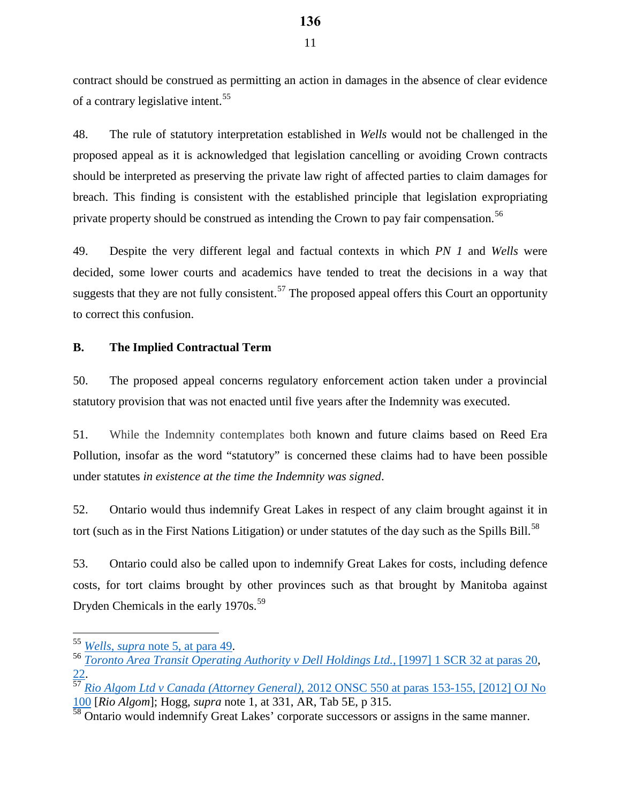contract should be construed as permitting an action in damages in the absence of clear evidence of a contrary legislative intent.<sup>[55](#page-14-0)</sup>

48. The rule of statutory interpretation established in *Wells* would not be challenged in the proposed appeal as it is acknowledged that legislation cancelling or avoiding Crown contracts should be interpreted as preserving the private law right of affected parties to claim damages for breach. This finding is consistent with the established principle that legislation expropriating private property should be construed as intending the Crown to pay fair compensation.<sup>[56](#page-14-1)</sup>

49. Despite the very different legal and factual contexts in which *PN 1* and *Wells* were decided, some lower courts and academics have tended to treat the decisions in a way that suggests that they are not fully consistent.<sup>57</sup> The proposed appeal offers this Court an opportunity to correct this confusion.

### **B. The Implied Contractual Term**

50. The proposed appeal concerns regulatory enforcement action taken under a provincial statutory provision that was not enacted until five years after the Indemnity was executed.

51. While the Indemnity contemplates both known and future claims based on Reed Era Pollution, insofar as the word "statutory" is concerned these claims had to have been possible under statutes *in existence at the time the Indemnity was signed*.

52. Ontario would thus indemnify Great Lakes in respect of any claim brought against it in tort (such as in the First Nations Litigation) or under statutes of the day such as the Spills Bill.<sup>[58](#page-14-3)</sup>

<span id="page-14-4"></span>53. Ontario could also be called upon to indemnify Great Lakes for costs, including defence costs, for tort claims brought by other provinces such as that brought by Manitoba against Dryden Chemicals in the early 1970s.<sup>59</sup>

<span id="page-14-0"></span><sup>&</sup>lt;sup>55</sup> Wells, *supra* note 5, at para 49.

<span id="page-14-1"></span><sup>55</sup> *Wells*, *supra* [note 5, at para 49.](https://www.canlii.org/en/ca/scc/doc/1999/1999canlii657/1999canlii657.html#par49) 56 *[Toronto Area Transit Operating Authority v Dell Holdings Ltd.](https://www.canlii.org/en/ca/scc/doc/1997/1997canlii400/1997canlii400.html#par20)*, [1997] 1 SCR 32 at paras 20,

<span id="page-14-2"></span>[<sup>22.</sup>](https://www.canlii.org/en/ca/scc/doc/1997/1997canlii400/1997canlii400.html#par22) [57](https://www.canlii.org/en/ca/scc/doc/1997/1997canlii400/1997canlii400.html#par22) *Rio Algom Ltd v Canada (Attorney General)*[, 2012 ONSC 550 at paras 153-155, \[2012\] OJ No](https://www.canlii.org/en/on/onsc/doc/2012/2012onsc550/2012onsc550.html#par153)  [100](https://www.canlii.org/en/on/onsc/doc/2012/2012onsc550/2012onsc550.html#par153) [*Rio Algom*]; Hogg, *supra* note 1, at 331, AR, Tab 5E, p 315.

<span id="page-14-3"></span><sup>&</sup>lt;sup>58</sup> Ontario would indemnify Great Lakes' corporate successors or assigns in the same manner.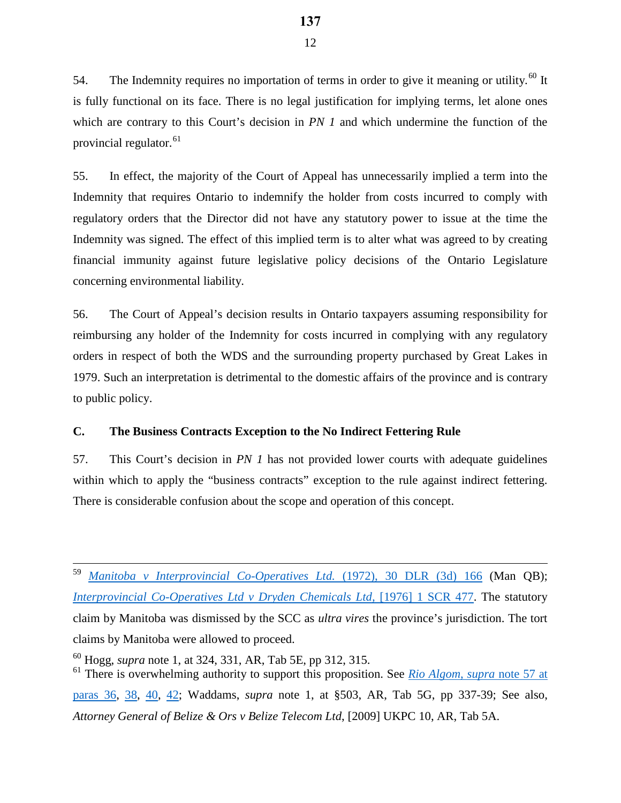54. The Indemnity requires no importation of terms in order to give it meaning or utility.<sup>[60](#page-15-0)</sup> It is fully functional on its face. There is no legal justification for implying terms, let alone ones which are contrary to this Court's decision in *PN 1* and which undermine the function of the provincial regulator.  $61$ 

55. In effect, the majority of the Court of Appeal has unnecessarily implied a term into the Indemnity that requires Ontario to indemnify the holder from costs incurred to comply with regulatory orders that the Director did not have any statutory power to issue at the time the Indemnity was signed. The effect of this implied term is to alter what was agreed to by creating financial immunity against future legislative policy decisions of the Ontario Legislature concerning environmental liability.

56. The Court of Appeal's decision results in Ontario taxpayers assuming responsibility for reimbursing any holder of the Indemnity for costs incurred in complying with any regulatory orders in respect of both the WDS and the surrounding property purchased by Great Lakes in 1979. Such an interpretation is detrimental to the domestic affairs of the province and is contrary to public policy.

### **C. The Business Contracts Exception to the No Indirect Fettering Rule**

57. This Court's decision in *PN 1* has not provided lower courts with adequate guidelines within which to apply the "business contracts" exception to the rule against indirect fettering. There is considerable confusion about the scope and operation of this concept.

 59 *[Manitoba v Interprovincial Co-Operatives Ltd.](https://www.canlii.org/en/mb/mbqb/doc/1972/1972canlii1009/1972canlii1009.html?resultIndex=1)* (1972), 30 DLR (3d) 166 (Man QB); *[Interprovincial Co-Operatives Ltd v Dryden Chemicals Ltd,](https://www.canlii.org/en/ca/scc/doc/1975/1975canlii212/1975canlii212.html?resultIndex=1)* [1976] 1 SCR 477. The statutory claim by Manitoba was dismissed by the SCC as *ultra vires* the province's jurisdiction. The tort claims by Manitoba were allowed to proceed.

<span id="page-15-0"></span><sup>60</sup> Hogg, *supra* note 1, at 324, 331, AR, Tab 5E, pp 312, 315.

<span id="page-15-1"></span><sup>61</sup> There is overwhelming authority to support this proposition. See *[Rio Algom](https://www.canlii.org/en/on/onsc/doc/2012/2012onsc550/2012onsc550.html#par36)*, *supra* note 57 at [paras 36,](https://www.canlii.org/en/on/onsc/doc/2012/2012onsc550/2012onsc550.html#par36) [38,](https://www.canlii.org/en/on/onsc/doc/2012/2012onsc550/2012onsc550.html#par38) [40,](https://www.canlii.org/en/on/onsc/doc/2012/2012onsc550/2012onsc550.html#par40) [42;](https://www.canlii.org/en/on/onsc/doc/2012/2012onsc550/2012onsc550.html#par42) Waddams, *supra* note 1, at §503, AR, Tab 5G, pp 337-39; See also, *Attorney General of Belize & Ors v Belize Telecom Ltd*, [2009] UKPC 10, AR, Tab 5A.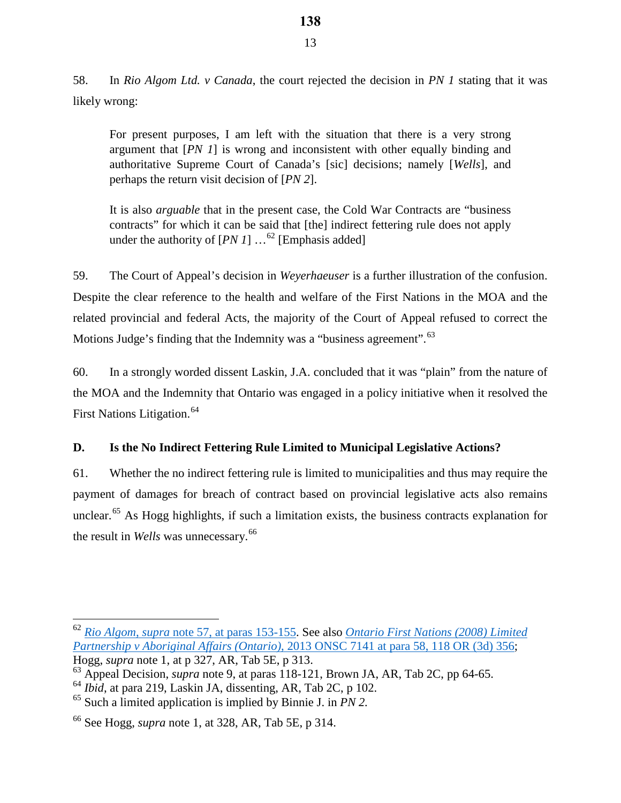58. In *Rio Algom Ltd. v Canada*, the court rejected the decision in *PN 1* stating that it was likely wrong:

For present purposes, I am left with the situation that there is a very strong argument that [*PN 1*] is wrong and inconsistent with other equally binding and authoritative Supreme Court of Canada's [sic] decisions; namely [*Wells*], and perhaps the return visit decision of [*PN 2*].

It is also *arguable* that in the present case, the Cold War Contracts are "business contracts" for which it can be said that [the] indirect fettering rule does not apply under the authority of  $[PN I]$  ...<sup>[62](#page-16-0)</sup> [Emphasis added]

59. The Court of Appeal's decision in *Weyerhaeuser* is a further illustration of the confusion. Despite the clear reference to the health and welfare of the First Nations in the MOA and the related provincial and federal Acts, the majority of the Court of Appeal refused to correct the Motions Judge's finding that the Indemnity was a "business agreement".<sup>[63](#page-16-1)</sup>

60. In a strongly worded dissent Laskin, J.A. concluded that it was "plain" from the nature of the MOA and the Indemnity that Ontario was engaged in a policy initiative when it resolved the First Nations Litigation.<sup>[64](#page-16-2)</sup>

# **D. Is the No Indirect Fettering Rule Limited to Municipal Legislative Actions?**

61. Whether the no indirect fettering rule is limited to municipalities and thus may require the payment of damages for breach of contract based on provincial legislative acts also remains unclear.<sup>[65](#page-16-3)</sup> As Hogg highlights, if such a limitation exists, the business contracts explanation for the result in *Wells* was unnecessary.<sup>[66](#page-16-4)</sup>

<span id="page-16-0"></span> $\overline{a}$ <sup>62</sup> *Rio Algom*, *supra* [note 57, at paras 153-155.](https://www.canlii.org/en/on/onsc/doc/2012/2012onsc550/2012onsc550.html#par153) See also *[Ontario First Nations \(2008\) Limited](https://www.canlii.org/en/on/onsc/doc/2013/2013onsc7141/2013onsc7141.html#par58)  Partnership v Aboriginal Affairs (Ontario)*[, 2013 ONSC 7141 at para 58, 118 OR \(3d\) 356;](https://www.canlii.org/en/on/onsc/doc/2013/2013onsc7141/2013onsc7141.html#par58) Hogg, *supra* note 1, at p 327, AR, Tab 5E, p 313.

<sup>63</sup> Appeal Decision, *supra* note 9, at paras 118-121, Brown JA, AR, Tab 2C, pp 64-65.

<span id="page-16-2"></span><span id="page-16-1"></span><sup>64</sup> *Ibid*, at para 219, Laskin JA, dissenting, AR, Tab 2C, p 102.

<span id="page-16-3"></span><sup>65</sup> Such a limited application is implied by Binnie J. in *PN 2.*

<span id="page-16-4"></span><sup>66</sup> See Hogg, *supra* note 1, at 328, AR, Tab 5E, p 314.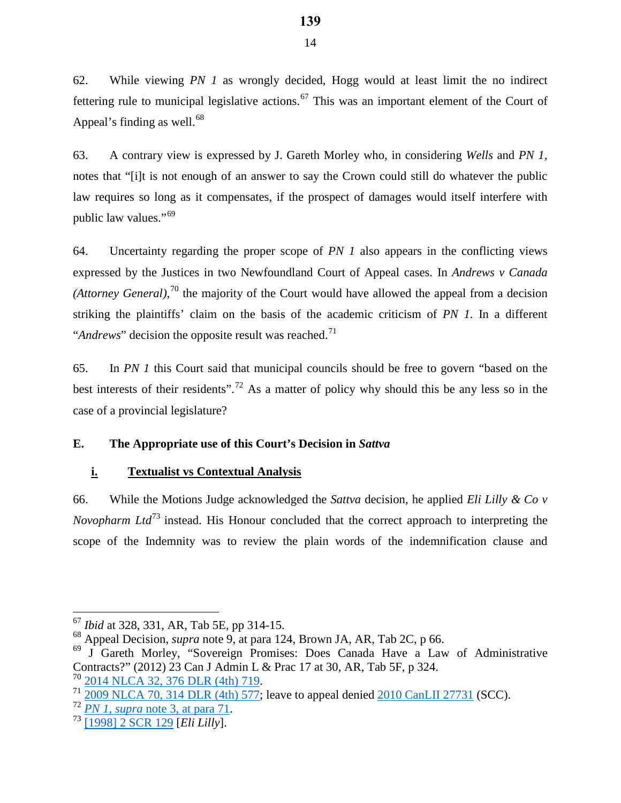62. While viewing *PN 1* as wrongly decided, Hogg would at least limit the no indirect fettering rule to municipal legislative actions.<sup>[67](#page-17-0)</sup> This was an important element of the Court of Appeal's finding as well.<sup>[68](#page-17-1)</sup>

63. A contrary view is expressed by J. Gareth Morley who, in considering *Wells* and *PN 1,*  notes that "[i]t is not enough of an answer to say the Crown could still do whatever the public law requires so long as it compensates, if the prospect of damages would itself interfere with public law values."<sup>[69](#page-17-2)</sup>

64. Uncertainty regarding the proper scope of *PN 1* also appears in the conflicting views expressed by the Justices in two Newfoundland Court of Appeal cases. In *Andrews v Canada*  (*Attorney General*),<sup>[70](#page-17-3)</sup> the majority of the Court would have allowed the appeal from a decision striking the plaintiffs' claim on the basis of the academic criticism of *PN 1*. In a different "*Andrews*" decision the opposite result was reached.<sup>[71](#page-17-4)</sup>

65. In *PN 1* this Court said that municipal councils should be free to govern "based on the best interests of their residents".<sup>[72](#page-17-5)</sup> As a matter of policy why should this be any less so in the case of a provincial legislature?

## **E. The Appropriate use of this Court's Decision in** *Sattva*

### **i. Textualist vs Contextual Analysis**

66. While the Motions Judge acknowledged the *Sattva* decision, he applied *Eli Lilly & Co v Novopharm Ltd*<sup>[73](#page-17-6)</sup> instead. His Honour concluded that the correct approach to interpreting the scope of the Indemnity was to review the plain words of the indemnification clause and

<sup>67</sup> *Ibid* at 328, 331, AR, Tab 5E, pp 314-15.

<span id="page-17-1"></span><span id="page-17-0"></span><sup>68</sup> Appeal Decision, *supra* note 9, at para 124, Brown JA, AR, Tab 2C, p 66.

<span id="page-17-2"></span><sup>69</sup> J Gareth Morley, "Sovereign Promises: Does Canada Have a Law of Administrative Contracts?" (2012) 23 Can J Admin L & Prac 17 at 30, AR, Tab 5F, p 324.<br><sup>70</sup> 20<u>14 NLCA 32, 376 DLR (4th) 719</u>.

<span id="page-17-4"></span><span id="page-17-3"></span> $71\overline{2009\text{ NLCA }70, 314\text{ DLR } (4\text{th})\,577}$ ; leave to appeal denied  $2010\text{ CanLII } 27731 \text{ (SCC)}$ .

<span id="page-17-5"></span><sup>72</sup> *PN <sup>1</sup>*, *supra* [note 3, at para 71.](https://www.canlii.org/en/ca/scc/doc/2000/2000scc64/2000scc64.html#par71) 73 [\[1998\] 2 SCR 129](https://www.canlii.org/en/ca/scc/doc/1998/1998canlii791/1998canlii791.html?resultIndex=1) [*Eli Lilly*].

<span id="page-17-6"></span>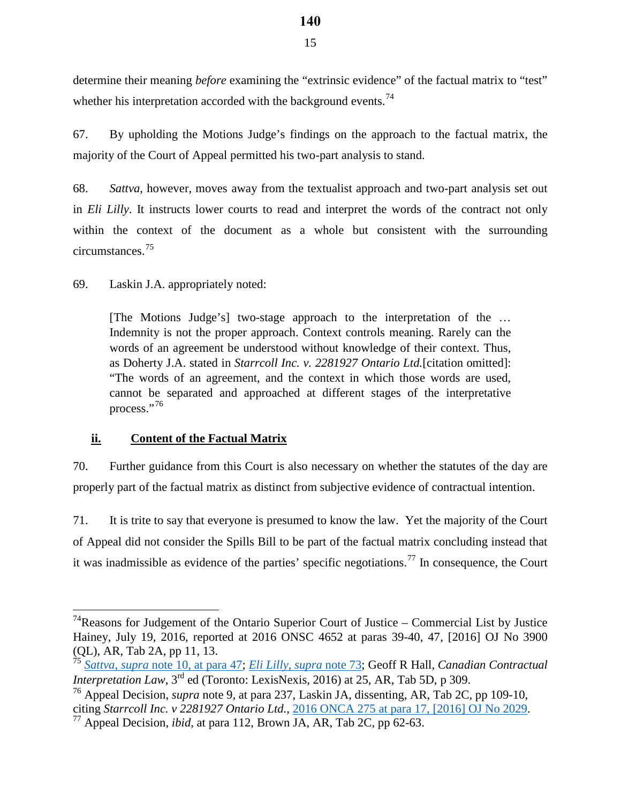determine their meaning *before* examining the "extrinsic evidence" of the factual matrix to "test" whether his interpretation accorded with the background events.<sup>74</sup>

67. By upholding the Motions Judge's findings on the approach to the factual matrix, the majority of the Court of Appeal permitted his two-part analysis to stand.

68. *Sattva*, however, moves away from the textualist approach and two-part analysis set out in *Eli Lilly*. It instructs lower courts to read and interpret the words of the contract not only within the context of the document as a whole but consistent with the surrounding circumstances. [75](#page-18-1) 

69. Laskin J.A. appropriately noted:

[The Motions Judge's] two-stage approach to the interpretation of the … Indemnity is not the proper approach. Context controls meaning. Rarely can the words of an agreement be understood without knowledge of their context. Thus, as Doherty J.A. stated in *Starrcoll Inc. v. 2281927 Ontario Ltd.*[citation omitted]: "The words of an agreement, and the context in which those words are used, cannot be separated and approached at different stages of the interpretative process."[76](#page-18-2)

### **ii. Content of the Factual Matrix**

 $\overline{a}$ 

70. Further guidance from this Court is also necessary on whether the statutes of the day are properly part of the factual matrix as distinct from subjective evidence of contractual intention.

71. It is trite to say that everyone is presumed to know the law. Yet the majority of the Court of Appeal did not consider the Spills Bill to be part of the factual matrix concluding instead that it was inadmissible as evidence of the parties' specific negotiations.<sup>[77](#page-18-3)</sup> In consequence, the Court

<span id="page-18-0"></span><sup>&</sup>lt;sup>74</sup>Reasons for Judgement of the Ontario Superior Court of Justice – Commercial List by Justice Hainey, July 19, 2016, reported at 2016 ONSC 4652 at paras 39-40, 47, [2016] OJ No 3900 (QL), AR, Tab 2A, pp 11, 13.

<span id="page-18-1"></span><sup>75</sup> *Sattva*, *supra* note 10, [at para 47;](https://www.canlii.org/en/ca/scc/doc/2014/2014scc53/2014scc53.html#par47) *[Eli Lilly](https://www.canlii.org/en/ca/scc/doc/1998/1998canlii791/1998canlii791.html?resultIndex=1)*, *supra* note 73; Geoff R Hall, *Canadian Contractual Interpretation Law*, 3<sup>rd</sup> ed (Toronto: LexisNexis, 2016) at 25, AR, Tab 5D, p 309.

<span id="page-18-2"></span><sup>76</sup> Appeal Decision, *supra* note 9, at para 237, Laskin JA, dissenting, AR, Tab 2C, pp 109-10, citing *Starrcoll Inc. v 2281927 Ontario Ltd.*, [2016 ONCA 275 at para 17, \[2016\] OJ No 2029.](https://www.canlii.org/en/on/onca/doc/2016/2016onca275/2016onca275.html#par17) 77 Appeal Decision, *ibid*, at para 112, Brown JA, AR, Tab 2C, pp 62-63.

<span id="page-18-3"></span>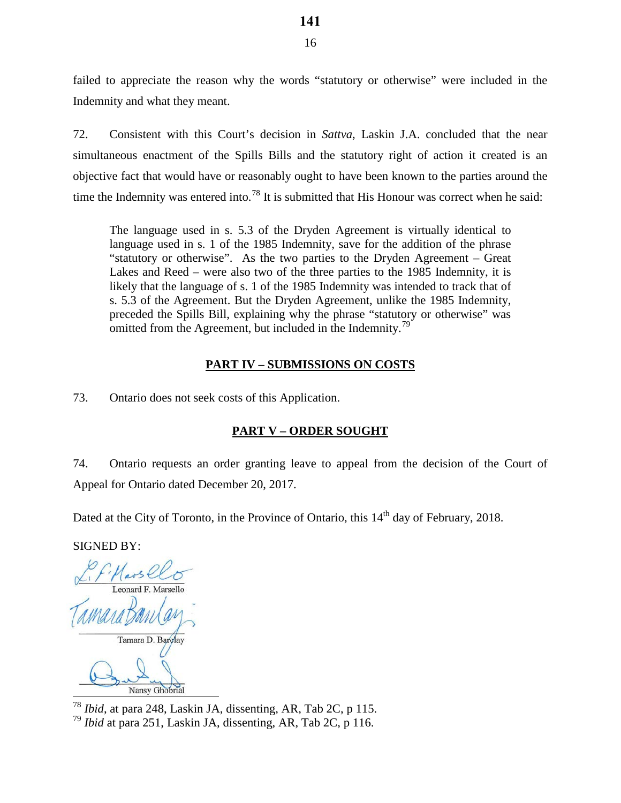failed to appreciate the reason why the words "statutory or otherwise" were included in the Indemnity and what they meant.

72. Consistent with this Court's decision in *Sattva*, Laskin J.A. concluded that the near simultaneous enactment of the Spills Bills and the statutory right of action it created is an objective fact that would have or reasonably ought to have been known to the parties around the time the Indemnity was entered into.<sup>78</sup> It is submitted that His Honour was correct when he said:

The language used in s. 5.3 of the Dryden Agreement is virtually identical to language used in s. 1 of the 1985 Indemnity, save for the addition of the phrase "statutory or otherwise". As the two parties to the Dryden Agreement – Great Lakes and Reed – were also two of the three parties to the 1985 Indemnity, it is likely that the language of s. 1 of the 1985 Indemnity was intended to track that of s. 5.3 of the Agreement. But the Dryden Agreement, unlike the 1985 Indemnity, preceded the Spills Bill, explaining why the phrase "statutory or otherwise" was omitted from the Agreement, but included in the Indemnity.<sup>[79](#page-19-1)</sup>

### **PART IV – SUBMISSIONS ON COSTS**

73. Ontario does not seek costs of this Application.

## **PART V – ORDER SOUGHT**

74. Ontario requests an order granting leave to appeal from the decision of the Court of Appeal for Ontario dated December 20, 2017.

Dated at the City of Toronto, in the Province of Ontario, this  $14<sup>th</sup>$  day of February, 2018.

SIGNED BY:

 $\overline{a}$ 

Fiflasselo

Tamara D. Barolay

Nansy Ghobrial

<span id="page-19-0"></span><sup>78</sup> *Ibid*, at para 248, Laskin JA, dissenting, AR, Tab 2C, p 115.

<span id="page-19-1"></span><sup>79</sup> *Ibid* at para 251, Laskin JA, dissenting, AR, Tab 2C, p 116.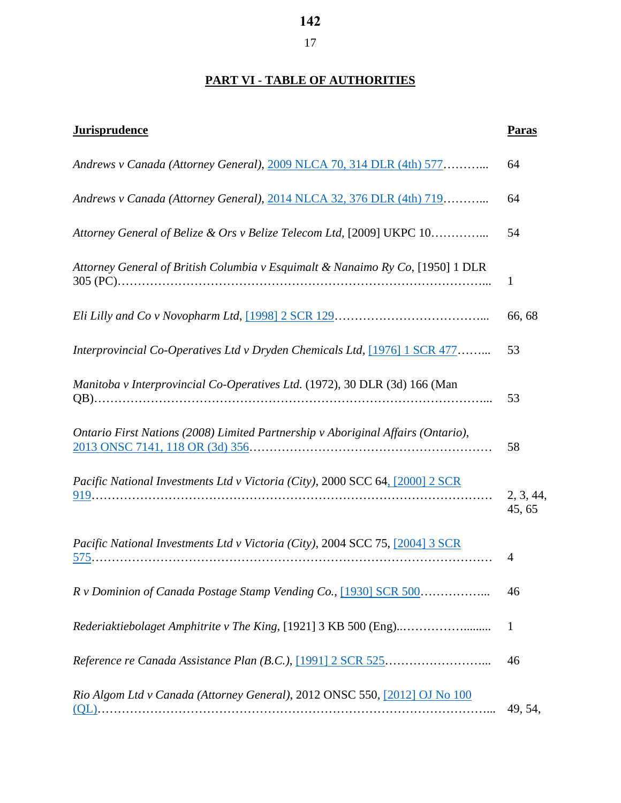# **PART VI - TABLE OF AUTHORITIES**

| <b>Jurisprudence</b>                                                             | Paras               |
|----------------------------------------------------------------------------------|---------------------|
| Andrews v Canada (Attorney General), 2009 NLCA 70, 314 DLR (4th) 577             | 64                  |
| Andrews v Canada (Attorney General), 2014 NLCA 32, 376 DLR (4th) 719             | 64                  |
| Attorney General of Belize & Ors v Belize Telecom Ltd, [2009] UKPC 10            | 54                  |
| Attorney General of British Columbia v Esquimalt & Nanaimo Ry Co, [1950] 1 DLR   | 1                   |
|                                                                                  | 66, 68              |
| Interprovincial Co-Operatives Ltd v Dryden Chemicals Ltd, [1976] 1 SCR 477       | 53                  |
| Manitoba v Interprovincial Co-Operatives Ltd. (1972), 30 DLR (3d) 166 (Man       | 53                  |
| Ontario First Nations (2008) Limited Partnership v Aboriginal Affairs (Ontario), | 58                  |
| Pacific National Investments Ltd v Victoria (City), 2000 SCC 64, [2000] 2 SCR    | 2, 3, 44,<br>45, 65 |
| Pacific National Investments Ltd v Victoria (City), 2004 SCC 75, [2004] 3 SCR    | 4                   |
| R v Dominion of Canada Postage Stamp Vending Co., [1930] SCR 500                 | 46                  |
|                                                                                  | 1                   |
|                                                                                  | 46                  |
| Rio Algom Ltd v Canada (Attorney General), 2012 ONSC 550, [2012] OJ No 100       | 49, 54,             |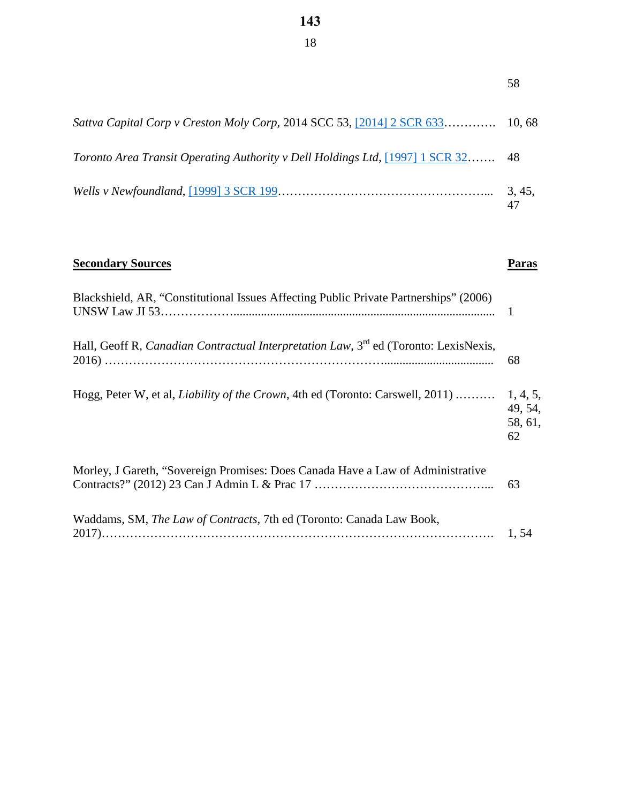# **Secondary Sources Paras**

| Blackshield, AR, "Constitutional Issues Affecting Public Private Partnerships" (2006) |  |
|---------------------------------------------------------------------------------------|--|
|                                                                                       |  |
|                                                                                       |  |

| Hall, Geoff R, Canadian Contractual Interpretation Law, 3 <sup>rd</sup> ed (Toronto: LexisNexis, | - 68                     |
|--------------------------------------------------------------------------------------------------|--------------------------|
|                                                                                                  | 49, 54,<br>58, 61,<br>62 |
| Morley, J Gareth, "Sovereign Promises: Does Canada Have a Law of Administrative                  | -63                      |

| Morley, J Gareth, "Sovereign Promises: Does Canada Have a Law of Administrative |  |
|---------------------------------------------------------------------------------|--|
| Waddams, SM, The Law of Contracts, 7th ed (Toronto: Canada Law Book,            |  |

| Sattva Capital Corp v Creston Moly Corp, 2014 SCC 53, [2014] 2 SCR 633 10, 68           |        |
|-----------------------------------------------------------------------------------------|--------|
| <i>Toronto Area Transit Operating Authority v Dell Holdings Ltd,</i> [1997] 1 SCR 32 48 |        |
|                                                                                         | 3, 45, |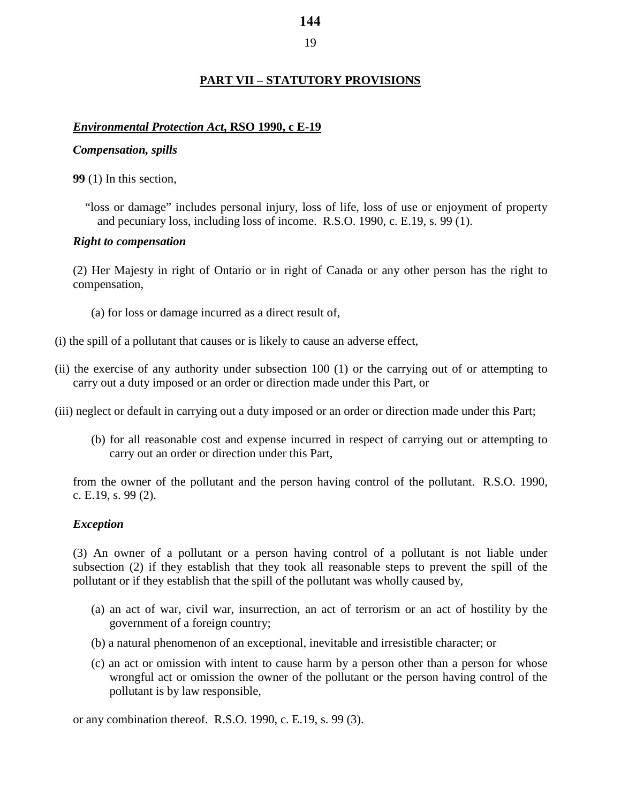## **PART VII – STATUTORY PROVISIONS**

## *Environmental Protection Act***, RSO 1990, c E-19**

## *Compensation, spills*

**99** (1) In this section,

"loss or damage" includes personal injury, loss of life, loss of use or enjoyment of property and pecuniary loss, including loss of income. R.S.O. 1990, c. E.19, s. 99 (1).

## *Right to compensation*

(2) Her Majesty in right of Ontario or in right of Canada or any other person has the right to compensation,

- (a) for loss or damage incurred as a direct result of,
- (i) the spill of a pollutant that causes or is likely to cause an adverse effect,
- (ii) the exercise of any authority under subsection 100 (1) or the carrying out of or attempting to carry out a duty imposed or an order or direction made under this Part, or
- (iii) neglect or default in carrying out a duty imposed or an order or direction made under this Part;
	- (b) for all reasonable cost and expense incurred in respect of carrying out or attempting to carry out an order or direction under this Part,

from the owner of the pollutant and the person having control of the pollutant. R.S.O. 1990, c. E.19, s. 99 (2).

### *Exception*

(3) An owner of a pollutant or a person having control of a pollutant is not liable under subsection (2) if they establish that they took all reasonable steps to prevent the spill of the pollutant or if they establish that the spill of the pollutant was wholly caused by,

- (a) an act of war, civil war, insurrection, an act of terrorism or an act of hostility by the government of a foreign country;
- (b) a natural phenomenon of an exceptional, inevitable and irresistible character; or
- (c) an act or omission with intent to cause harm by a person other than a person for whose wrongful act or omission the owner of the pollutant or the person having control of the pollutant is by law responsible,

or any combination thereof. R.S.O. 1990, c. E.19, s. 99 (3).

# 19 **144**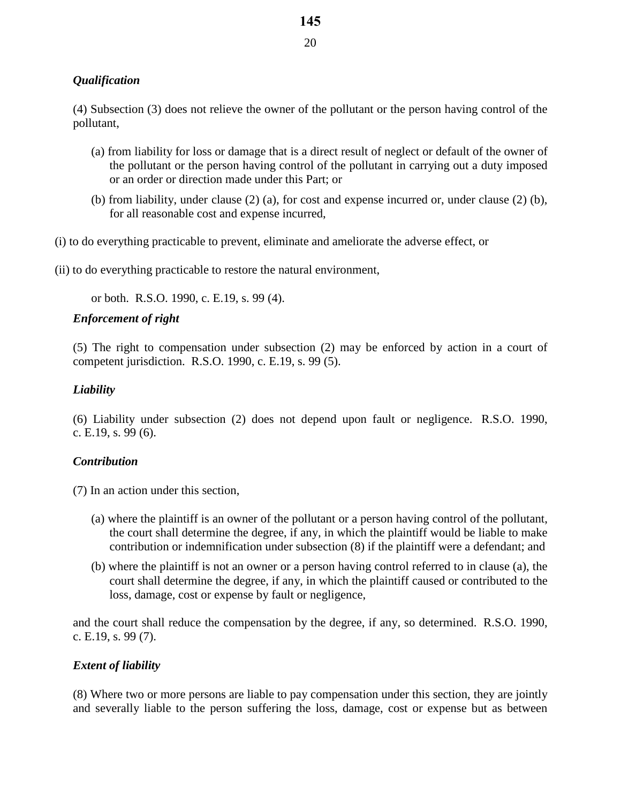20

# *Qualification*

(4) Subsection (3) does not relieve the owner of the pollutant or the person having control of the pollutant,

- (a) from liability for loss or damage that is a direct result of neglect or default of the owner of the pollutant or the person having control of the pollutant in carrying out a duty imposed or an order or direction made under this Part; or
- (b) from liability, under clause (2) (a), for cost and expense incurred or, under clause (2) (b), for all reasonable cost and expense incurred,

(i) to do everything practicable to prevent, eliminate and ameliorate the adverse effect, or

(ii) to do everything practicable to restore the natural environment,

or both. R.S.O. 1990, c. E.19, s. 99 (4).

## *Enforcement of right*

(5) The right to compensation under subsection (2) may be enforced by action in a court of competent jurisdiction. R.S.O. 1990, c. E.19, s. 99 (5).

## *Liability*

(6) Liability under subsection (2) does not depend upon fault or negligence. R.S.O. 1990, c. E.19, s. 99 (6).

## *Contribution*

(7) In an action under this section,

- (a) where the plaintiff is an owner of the pollutant or a person having control of the pollutant, the court shall determine the degree, if any, in which the plaintiff would be liable to make contribution or indemnification under subsection (8) if the plaintiff were a defendant; and
- (b) where the plaintiff is not an owner or a person having control referred to in clause (a), the court shall determine the degree, if any, in which the plaintiff caused or contributed to the loss, damage, cost or expense by fault or negligence,

and the court shall reduce the compensation by the degree, if any, so determined. R.S.O. 1990, c. E.19, s. 99 (7).

## *Extent of liability*

(8) Where two or more persons are liable to pay compensation under this section, they are jointly and severally liable to the person suffering the loss, damage, cost or expense but as between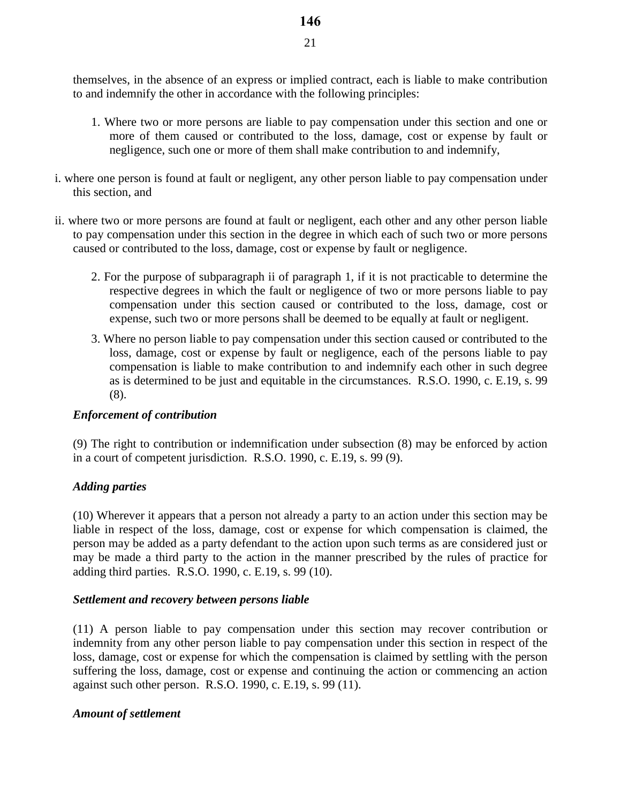themselves, in the absence of an express or implied contract, each is liable to make contribution to and indemnify the other in accordance with the following principles:

- 1. Where two or more persons are liable to pay compensation under this section and one or more of them caused or contributed to the loss, damage, cost or expense by fault or negligence, such one or more of them shall make contribution to and indemnify,
- i. where one person is found at fault or negligent, any other person liable to pay compensation under this section, and
- ii. where two or more persons are found at fault or negligent, each other and any other person liable to pay compensation under this section in the degree in which each of such two or more persons caused or contributed to the loss, damage, cost or expense by fault or negligence.
	- 2. For the purpose of subparagraph ii of paragraph 1, if it is not practicable to determine the respective degrees in which the fault or negligence of two or more persons liable to pay compensation under this section caused or contributed to the loss, damage, cost or expense, such two or more persons shall be deemed to be equally at fault or negligent.
	- 3. Where no person liable to pay compensation under this section caused or contributed to the loss, damage, cost or expense by fault or negligence, each of the persons liable to pay compensation is liable to make contribution to and indemnify each other in such degree as is determined to be just and equitable in the circumstances. R.S.O. 1990, c. E.19, s. 99 (8).

## *Enforcement of contribution*

(9) The right to contribution or indemnification under subsection (8) may be enforced by action in a court of competent jurisdiction. R.S.O. 1990, c. E.19, s. 99 (9).

## *Adding parties*

(10) Wherever it appears that a person not already a party to an action under this section may be liable in respect of the loss, damage, cost or expense for which compensation is claimed, the person may be added as a party defendant to the action upon such terms as are considered just or may be made a third party to the action in the manner prescribed by the rules of practice for adding third parties. R.S.O. 1990, c. E.19, s. 99 (10).

## *Settlement and recovery between persons liable*

(11) A person liable to pay compensation under this section may recover contribution or indemnity from any other person liable to pay compensation under this section in respect of the loss, damage, cost or expense for which the compensation is claimed by settling with the person suffering the loss, damage, cost or expense and continuing the action or commencing an action against such other person. R.S.O. 1990, c. E.19, s. 99 (11).

## *Amount of settlement*

21 **146**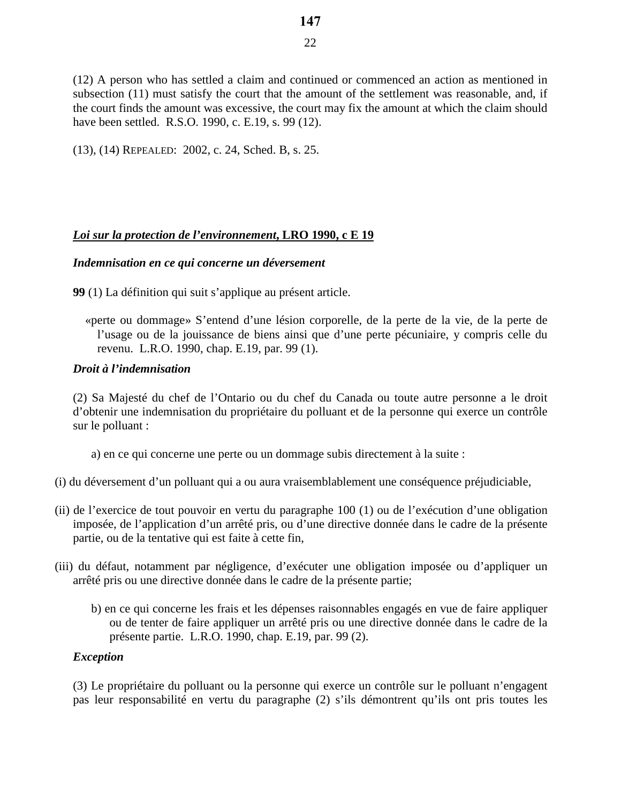(12) A person who has settled a claim and continued or commenced an action as mentioned in subsection (11) must satisfy the court that the amount of the settlement was reasonable, and, if the court finds the amount was excessive, the court may fix the amount at which the claim should have been settled. R.S.O. 1990, c. E.19, s. 99 (12).

(13), (14) REPEALED: 2002, c. 24, Sched. B, s. 25.

## *Loi sur la protection de l'environnement***, LRO 1990, c E 19**

### *Indemnisation en ce qui concerne un déversement*

- **99** (1) La définition qui suit s'applique au présent article.
	- «perte ou dommage» S'entend d'une lésion corporelle, de la perte de la vie, de la perte de l'usage ou de la jouissance de biens ainsi que d'une perte pécuniaire, y compris celle du revenu. L.R.O. 1990, chap. E.19, par. 99 (1).

### *Droit à l'indemnisation*

(2) Sa Majesté du chef de l'Ontario ou du chef du Canada ou toute autre personne a le droit d'obtenir une indemnisation du propriétaire du polluant et de la personne qui exerce un contrôle sur le polluant :

- a) en ce qui concerne une perte ou un dommage subis directement à la suite :
- (i) du déversement d'un polluant qui a ou aura vraisemblablement une conséquence préjudiciable,
- (ii) de l'exercice de tout pouvoir en vertu du paragraphe 100 (1) ou de l'exécution d'une obligation imposée, de l'application d'un arrêté pris, ou d'une directive donnée dans le cadre de la présente partie, ou de la tentative qui est faite à cette fin,
- (iii) du défaut, notamment par négligence, d'exécuter une obligation imposée ou d'appliquer un arrêté pris ou une directive donnée dans le cadre de la présente partie;
	- b) en ce qui concerne les frais et les dépenses raisonnables engagés en vue de faire appliquer ou de tenter de faire appliquer un arrêté pris ou une directive donnée dans le cadre de la présente partie. L.R.O. 1990, chap. E.19, par. 99 (2).

### *Exception*

(3) Le propriétaire du polluant ou la personne qui exerce un contrôle sur le polluant n'engagent pas leur responsabilité en vertu du paragraphe (2) s'ils démontrent qu'ils ont pris toutes les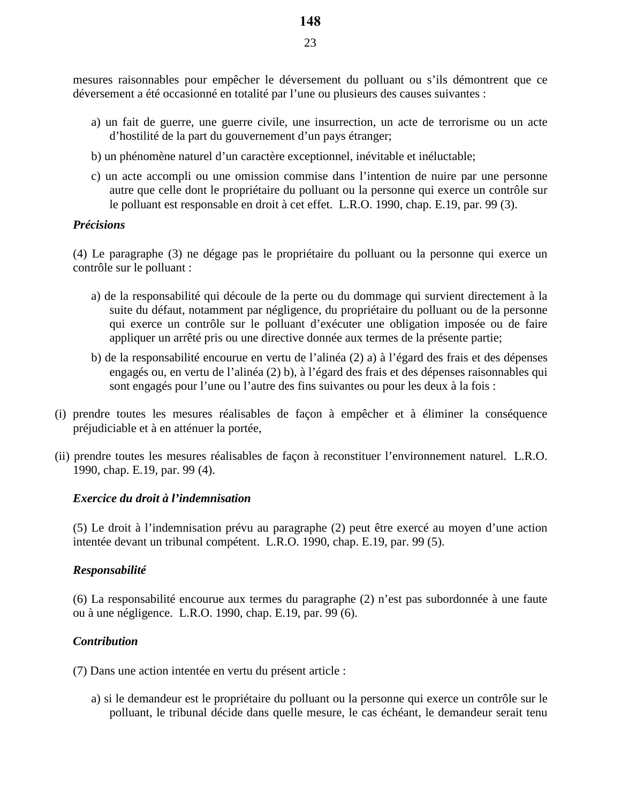mesures raisonnables pour empêcher le déversement du polluant ou s'ils démontrent que ce déversement a été occasionné en totalité par l'une ou plusieurs des causes suivantes :

- a) un fait de guerre, une guerre civile, une insurrection, un acte de terrorisme ou un acte d'hostilité de la part du gouvernement d'un pays étranger;
- b) un phénomène naturel d'un caractère exceptionnel, inévitable et inéluctable;
- c) un acte accompli ou une omission commise dans l'intention de nuire par une personne autre que celle dont le propriétaire du polluant ou la personne qui exerce un contrôle sur le polluant est responsable en droit à cet effet. L.R.O. 1990, chap. E.19, par. 99 (3).

### *Précisions*

(4) Le paragraphe (3) ne dégage pas le propriétaire du polluant ou la personne qui exerce un contrôle sur le polluant :

- a) de la responsabilité qui découle de la perte ou du dommage qui survient directement à la suite du défaut, notamment par négligence, du propriétaire du polluant ou de la personne qui exerce un contrôle sur le polluant d'exécuter une obligation imposée ou de faire appliquer un arrêté pris ou une directive donnée aux termes de la présente partie;
- b) de la responsabilité encourue en vertu de l'alinéa (2) a) à l'égard des frais et des dépenses engagés ou, en vertu de l'alinéa (2) b), à l'égard des frais et des dépenses raisonnables qui sont engagés pour l'une ou l'autre des fins suivantes ou pour les deux à la fois :
- (i) prendre toutes les mesures réalisables de façon à empêcher et à éliminer la conséquence préjudiciable et à en atténuer la portée,
- (ii) prendre toutes les mesures réalisables de façon à reconstituer l'environnement naturel. L.R.O. 1990, chap. E.19, par. 99 (4).

## *Exercice du droit à l'indemnisation*

(5) Le droit à l'indemnisation prévu au paragraphe (2) peut être exercé au moyen d'une action intentée devant un tribunal compétent. L.R.O. 1990, chap. E.19, par. 99 (5).

## *Responsabilité*

(6) La responsabilité encourue aux termes du paragraphe (2) n'est pas subordonnée à une faute ou à une négligence. L.R.O. 1990, chap. E.19, par. 99 (6).

## *Contribution*

(7) Dans une action intentée en vertu du présent article :

a) si le demandeur est le propriétaire du polluant ou la personne qui exerce un contrôle sur le polluant, le tribunal décide dans quelle mesure, le cas échéant, le demandeur serait tenu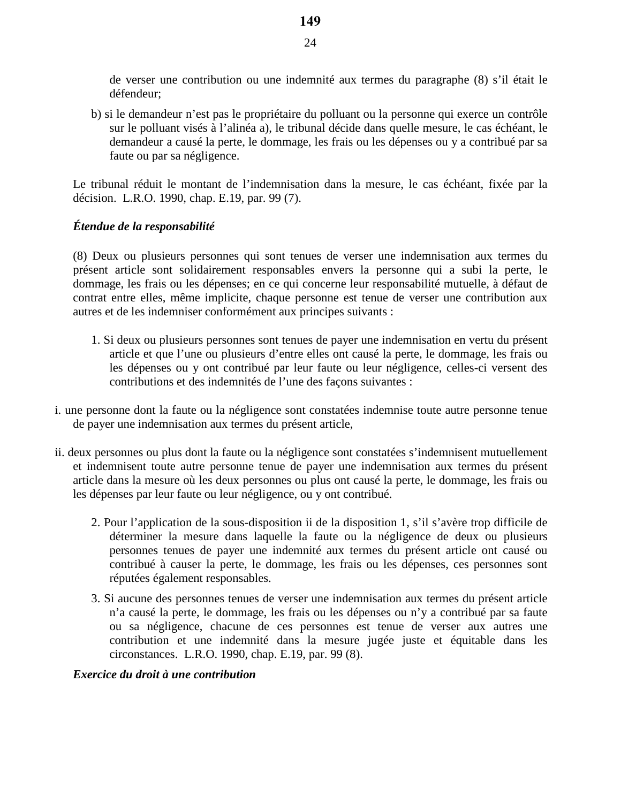de verser une contribution ou une indemnité aux termes du paragraphe (8) s'il était le défendeur;

b) si le demandeur n'est pas le propriétaire du polluant ou la personne qui exerce un contrôle sur le polluant visés à l'alinéa a), le tribunal décide dans quelle mesure, le cas échéant, le demandeur a causé la perte, le dommage, les frais ou les dépenses ou y a contribué par sa faute ou par sa négligence.

Le tribunal réduit le montant de l'indemnisation dans la mesure, le cas échéant, fixée par la décision. L.R.O. 1990, chap. E.19, par. 99 (7).

## *Étendue de la responsabilité*

(8) Deux ou plusieurs personnes qui sont tenues de verser une indemnisation aux termes du présent article sont solidairement responsables envers la personne qui a subi la perte, le dommage, les frais ou les dépenses; en ce qui concerne leur responsabilité mutuelle, à défaut de contrat entre elles, même implicite, chaque personne est tenue de verser une contribution aux autres et de les indemniser conformément aux principes suivants :

- 1. Si deux ou plusieurs personnes sont tenues de payer une indemnisation en vertu du présent article et que l'une ou plusieurs d'entre elles ont causé la perte, le dommage, les frais ou les dépenses ou y ont contribué par leur faute ou leur négligence, celles-ci versent des contributions et des indemnités de l'une des façons suivantes :
- i. une personne dont la faute ou la négligence sont constatées indemnise toute autre personne tenue de payer une indemnisation aux termes du présent article,
- ii. deux personnes ou plus dont la faute ou la négligence sont constatées s'indemnisent mutuellement et indemnisent toute autre personne tenue de payer une indemnisation aux termes du présent article dans la mesure où les deux personnes ou plus ont causé la perte, le dommage, les frais ou les dépenses par leur faute ou leur négligence, ou y ont contribué.
	- 2. Pour l'application de la sous-disposition ii de la disposition 1, s'il s'avère trop difficile de déterminer la mesure dans laquelle la faute ou la négligence de deux ou plusieurs personnes tenues de payer une indemnité aux termes du présent article ont causé ou contribué à causer la perte, le dommage, les frais ou les dépenses, ces personnes sont réputées également responsables.
	- 3. Si aucune des personnes tenues de verser une indemnisation aux termes du présent article n'a causé la perte, le dommage, les frais ou les dépenses ou n'y a contribué par sa faute ou sa négligence, chacune de ces personnes est tenue de verser aux autres une contribution et une indemnité dans la mesure jugée juste et équitable dans les circonstances. L.R.O. 1990, chap. E.19, par. 99 (8).

## *Exercice du droit à une contribution*